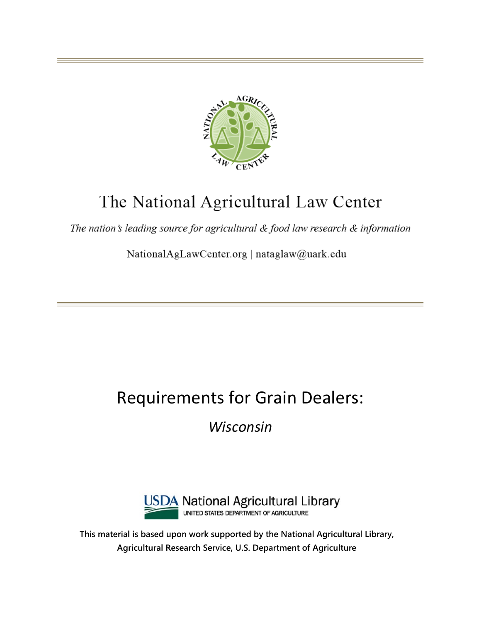

# The National Agricultural Law Center

The nation's leading source for agricultural & food law research & information

NationalAgLawCenter.org | nataglaw@uark.edu

# Requirements for Grain Dealers:

*Wisconsin*



**This material is based upon work supported by the National Agricultural Library, Agricultural Research Service, U.S. Department of Agriculture**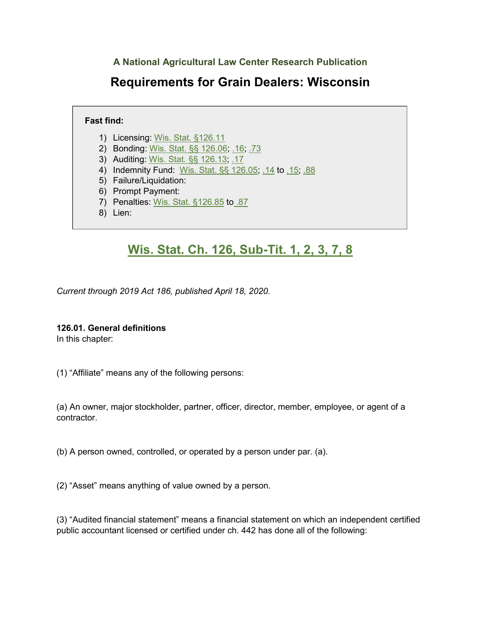**A National Agricultural Law Center Research Publication**

# **Requirements for Grain Dealers: Wisconsin**

# **Fast find:**

- 1) Licensing: [Wis. Stat. §126.11](#page-8-0)
- 2) Bonding: [Wis. Stat. §§ 126.06;](#page-5-0) [.16;](#page-22-0) [.73](#page-44-0)
- 3) Auditing: [Wis. Stat. §§ 126.13;](#page-12-0) [.17](#page-28-0)
- 4) Indemnity Fund: [Wis. Stat. §§ 126.05;](#page-4-0) [.14](#page-15-0) to [.15;](#page-16-0) [.88](#page-50-0)
- 5) Failure/Liquidation:
- 6) Prompt Payment:
- 7) Penalties: [Wis. Stat. §126.85](#page-47-0) to [.87](#page-49-0)
- 8) Lien:

# **[Wis. Stat. Ch. 126, Sub-Tit. 1, 2, 3, 7, 8](https://codes.findlaw.com/wi/trade-regulations-ch-125-to-139/#!tid=N00D5D410770B11DAA16E8D4AC7636430)**

*Current through 2019 Act 186, published April 18, 2020.* 

### **126.01. General definitions**

In this chapter:

(1) "Affiliate" means any of the following persons:

(a) An owner, major stockholder, partner, officer, director, member, employee, or agent of a contractor.

(b) A person owned, controlled, or operated by a person under par. (a).

(2) "Asset" means anything of value owned by a person.

(3) "Audited financial statement" means a financial statement on which an independent certified public accountant licensed or certified under ch. 442 has done all of the following: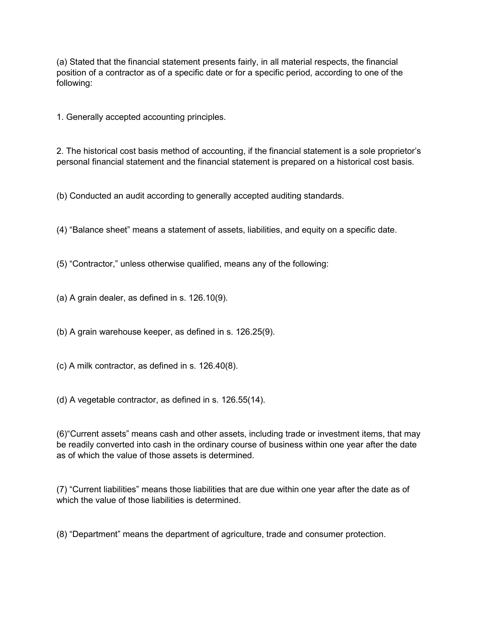(a) Stated that the financial statement presents fairly, in all material respects, the financial position of a contractor as of a specific date or for a specific period, according to one of the following:

1. Generally accepted accounting principles.

2. The historical cost basis method of accounting, if the financial statement is a sole proprietor's personal financial statement and the financial statement is prepared on a historical cost basis.

(b) Conducted an audit according to generally accepted auditing standards.

(4) "Balance sheet" means a statement of assets, liabilities, and equity on a specific date.

(5) "Contractor," unless otherwise qualified, means any of the following:

(a) A grain dealer, as defined in s. 126.10(9).

(b) A grain warehouse keeper, as defined in s. 126.25(9).

(c) A milk contractor, as defined in s. 126.40(8).

(d) A vegetable contractor, as defined in s. 126.55(14).

(6)"Current assets" means cash and other assets, including trade or investment items, that may be readily converted into cash in the ordinary course of business within one year after the date as of which the value of those assets is determined.

(7) "Current liabilities" means those liabilities that are due within one year after the date as of which the value of those liabilities is determined.

(8) "Department" means the department of agriculture, trade and consumer protection.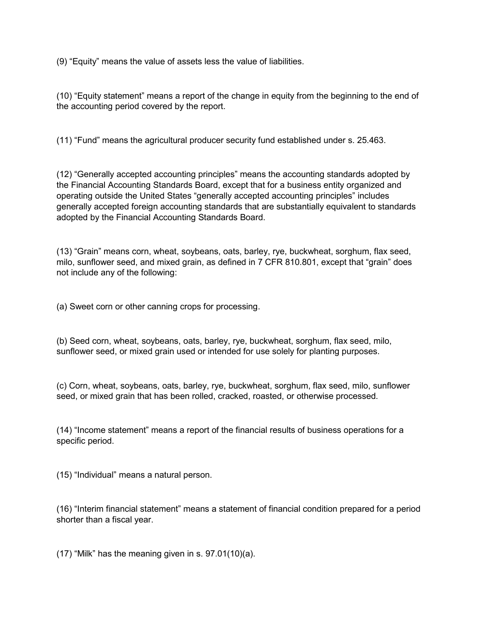(9) "Equity" means the value of assets less the value of liabilities.

(10) "Equity statement" means a report of the change in equity from the beginning to the end of the accounting period covered by the report.

(11) "Fund" means the agricultural producer security fund established under s. 25.463.

(12) "Generally accepted accounting principles" means the accounting standards adopted by the Financial Accounting Standards Board, except that for a business entity organized and operating outside the United States "generally accepted accounting principles" includes generally accepted foreign accounting standards that are substantially equivalent to standards adopted by the Financial Accounting Standards Board.

(13) "Grain" means corn, wheat, soybeans, oats, barley, rye, buckwheat, sorghum, flax seed, milo, sunflower seed, and mixed grain, as defined in 7 CFR 810.801, except that "grain" does not include any of the following:

(a) Sweet corn or other canning crops for processing.

(b) Seed corn, wheat, soybeans, oats, barley, rye, buckwheat, sorghum, flax seed, milo, sunflower seed, or mixed grain used or intended for use solely for planting purposes.

(c) Corn, wheat, soybeans, oats, barley, rye, buckwheat, sorghum, flax seed, milo, sunflower seed, or mixed grain that has been rolled, cracked, roasted, or otherwise processed.

(14) "Income statement" means a report of the financial results of business operations for a specific period.

(15) "Individual" means a natural person.

(16) "Interim financial statement" means a statement of financial condition prepared for a period shorter than a fiscal year.

 $(17)$  "Milk" has the meaning given in s. 97.01 $(10)(a)$ .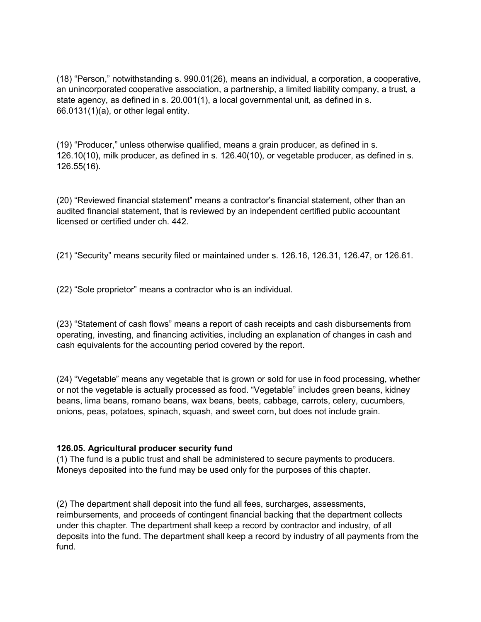(18) "Person," notwithstanding s. 990.01(26), means an individual, a corporation, a cooperative, an unincorporated cooperative association, a partnership, a limited liability company, a trust, a state agency, as defined in s. 20.001(1), a local governmental unit, as defined in s. 66.0131(1)(a), or other legal entity.

(19) "Producer," unless otherwise qualified, means a grain producer, as defined in s. 126.10(10), milk producer, as defined in s. 126.40(10), or vegetable producer, as defined in s. 126.55(16).

(20) "Reviewed financial statement" means a contractor's financial statement, other than an audited financial statement, that is reviewed by an independent certified public accountant licensed or certified under ch. 442.

(21) "Security" means security filed or maintained under s. 126.16, 126.31, 126.47, or 126.61.

(22) "Sole proprietor" means a contractor who is an individual.

(23) "Statement of cash flows" means a report of cash receipts and cash disbursements from operating, investing, and financing activities, including an explanation of changes in cash and cash equivalents for the accounting period covered by the report.

(24) "Vegetable" means any vegetable that is grown or sold for use in food processing, whether or not the vegetable is actually processed as food. "Vegetable" includes green beans, kidney beans, lima beans, romano beans, wax beans, beets, cabbage, carrots, celery, cucumbers, onions, peas, potatoes, spinach, squash, and sweet corn, but does not include grain.

### <span id="page-4-0"></span>**126.05. Agricultural producer security fund**

(1) The fund is a public trust and shall be administered to secure payments to producers. Moneys deposited into the fund may be used only for the purposes of this chapter.

(2) The department shall deposit into the fund all fees, surcharges, assessments, reimbursements, and proceeds of contingent financial backing that the department collects under this chapter. The department shall keep a record by contractor and industry, of all deposits into the fund. The department shall keep a record by industry of all payments from the fund.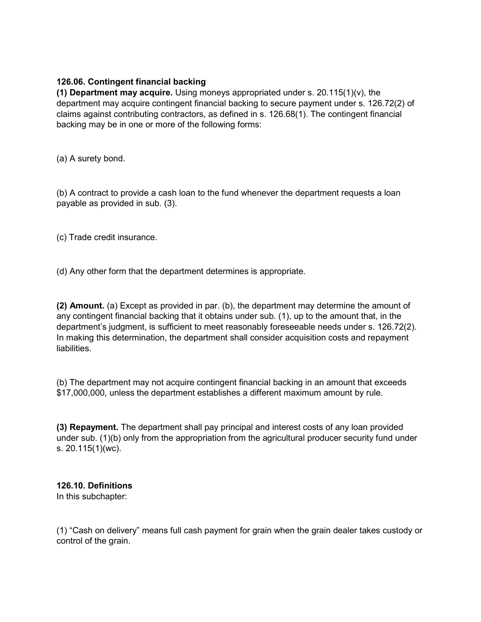## <span id="page-5-0"></span>**126.06. Contingent financial backing**

**(1) Department may acquire.** Using moneys appropriated under s. 20.115(1)(v), the department may acquire contingent financial backing to secure payment under s. 126.72(2) of claims against contributing contractors, as defined in s. 126.68(1). The contingent financial backing may be in one or more of the following forms:

(a) A surety bond.

(b) A contract to provide a cash loan to the fund whenever the department requests a loan payable as provided in sub. (3).

(c) Trade credit insurance.

(d) Any other form that the department determines is appropriate.

**(2) Amount.** (a) Except as provided in par. (b), the department may determine the amount of any contingent financial backing that it obtains under sub. (1), up to the amount that, in the department's judgment, is sufficient to meet reasonably foreseeable needs under s. 126.72(2). In making this determination, the department shall consider acquisition costs and repayment liabilities.

(b) The department may not acquire contingent financial backing in an amount that exceeds \$17,000,000, unless the department establishes a different maximum amount by rule.

**(3) Repayment.** The department shall pay principal and interest costs of any loan provided under sub. (1)(b) only from the appropriation from the agricultural producer security fund under s. 20.115(1)(wc).

**126.10. Definitions** In this subchapter:

(1) "Cash on delivery" means full cash payment for grain when the grain dealer takes custody or control of the grain.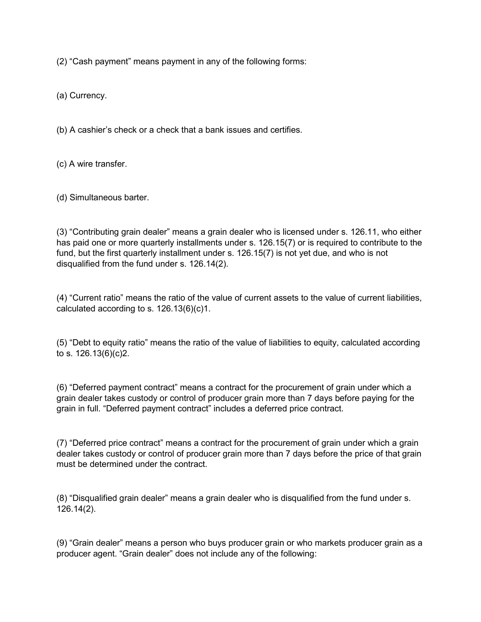(2) "Cash payment" means payment in any of the following forms:

(a) Currency.

(b) A cashier's check or a check that a bank issues and certifies.

(c) A wire transfer.

(d) Simultaneous barter.

(3) "Contributing grain dealer" means a grain dealer who is licensed under s. 126.11, who either has paid one or more quarterly installments under s. 126.15(7) or is required to contribute to the fund, but the first quarterly installment under s. 126.15(7) is not yet due, and who is not disqualified from the fund under s. 126.14(2).

(4) "Current ratio" means the ratio of the value of current assets to the value of current liabilities, calculated according to s. 126.13(6)(c)1.

(5) "Debt to equity ratio" means the ratio of the value of liabilities to equity, calculated according to s. 126.13(6)(c)2.

(6) "Deferred payment contract" means a contract for the procurement of grain under which a grain dealer takes custody or control of producer grain more than 7 days before paying for the grain in full. "Deferred payment contract" includes a deferred price contract.

(7) "Deferred price contract" means a contract for the procurement of grain under which a grain dealer takes custody or control of producer grain more than 7 days before the price of that grain must be determined under the contract.

(8) "Disqualified grain dealer" means a grain dealer who is disqualified from the fund under s. 126.14(2).

(9) "Grain dealer" means a person who buys producer grain or who markets producer grain as a producer agent. "Grain dealer" does not include any of the following: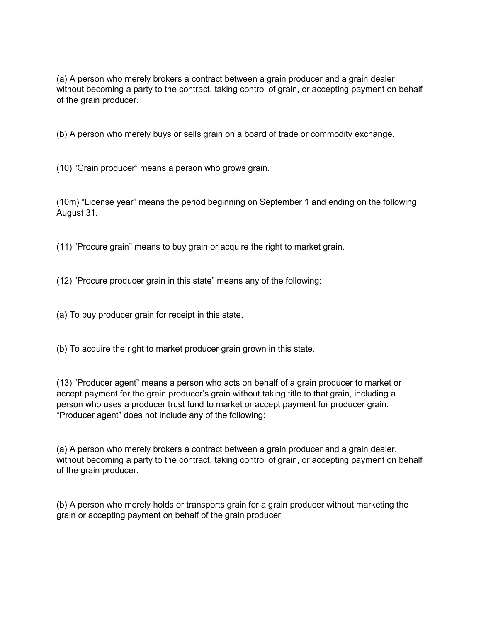(a) A person who merely brokers a contract between a grain producer and a grain dealer without becoming a party to the contract, taking control of grain, or accepting payment on behalf of the grain producer.

(b) A person who merely buys or sells grain on a board of trade or commodity exchange.

(10) "Grain producer" means a person who grows grain.

(10m) "License year" means the period beginning on September 1 and ending on the following August 31.

(11) "Procure grain" means to buy grain or acquire the right to market grain.

(12) "Procure producer grain in this state" means any of the following:

(a) To buy producer grain for receipt in this state.

(b) To acquire the right to market producer grain grown in this state.

(13) "Producer agent" means a person who acts on behalf of a grain producer to market or accept payment for the grain producer's grain without taking title to that grain, including a person who uses a producer trust fund to market or accept payment for producer grain. "Producer agent" does not include any of the following:

(a) A person who merely brokers a contract between a grain producer and a grain dealer, without becoming a party to the contract, taking control of grain, or accepting payment on behalf of the grain producer.

(b) A person who merely holds or transports grain for a grain producer without marketing the grain or accepting payment on behalf of the grain producer.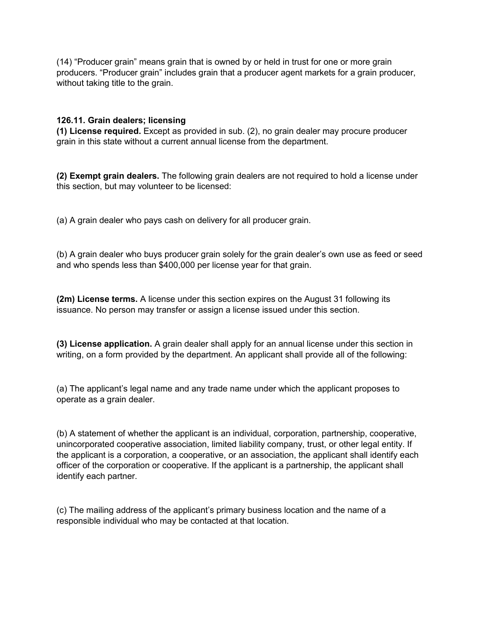(14) "Producer grain" means grain that is owned by or held in trust for one or more grain producers. "Producer grain" includes grain that a producer agent markets for a grain producer, without taking title to the grain.

## <span id="page-8-0"></span>**126.11. Grain dealers; licensing**

**(1) License required.** Except as provided in sub. (2), no grain dealer may procure producer grain in this state without a current annual license from the department.

**(2) Exempt grain dealers.** The following grain dealers are not required to hold a license under this section, but may volunteer to be licensed:

(a) A grain dealer who pays cash on delivery for all producer grain.

(b) A grain dealer who buys producer grain solely for the grain dealer's own use as feed or seed and who spends less than \$400,000 per license year for that grain.

**(2m) License terms.** A license under this section expires on the August 31 following its issuance. No person may transfer or assign a license issued under this section.

**(3) License application.** A grain dealer shall apply for an annual license under this section in writing, on a form provided by the department. An applicant shall provide all of the following:

(a) The applicant's legal name and any trade name under which the applicant proposes to operate as a grain dealer.

(b) A statement of whether the applicant is an individual, corporation, partnership, cooperative, unincorporated cooperative association, limited liability company, trust, or other legal entity. If the applicant is a corporation, a cooperative, or an association, the applicant shall identify each officer of the corporation or cooperative. If the applicant is a partnership, the applicant shall identify each partner.

(c) The mailing address of the applicant's primary business location and the name of a responsible individual who may be contacted at that location.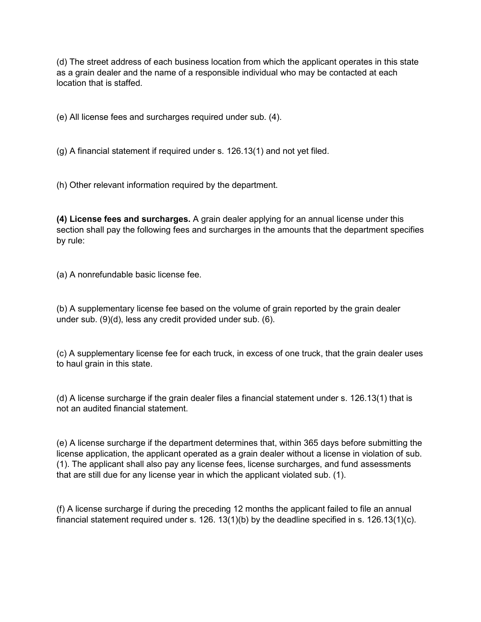(d) The street address of each business location from which the applicant operates in this state as a grain dealer and the name of a responsible individual who may be contacted at each location that is staffed.

(e) All license fees and surcharges required under sub. (4).

(g) A financial statement if required under s. 126.13(1) and not yet filed.

(h) Other relevant information required by the department.

**(4) License fees and surcharges.** A grain dealer applying for an annual license under this section shall pay the following fees and surcharges in the amounts that the department specifies by rule:

(a) A nonrefundable basic license fee.

(b) A supplementary license fee based on the volume of grain reported by the grain dealer under sub. (9)(d), less any credit provided under sub. (6).

(c) A supplementary license fee for each truck, in excess of one truck, that the grain dealer uses to haul grain in this state.

(d) A license surcharge if the grain dealer files a financial statement under s. 126.13(1) that is not an audited financial statement.

(e) A license surcharge if the department determines that, within 365 days before submitting the license application, the applicant operated as a grain dealer without a license in violation of sub. (1). The applicant shall also pay any license fees, license surcharges, and fund assessments that are still due for any license year in which the applicant violated sub. (1).

(f) A license surcharge if during the preceding 12 months the applicant failed to file an annual financial statement required under s. 126. 13(1)(b) by the deadline specified in s. 126.13(1)(c).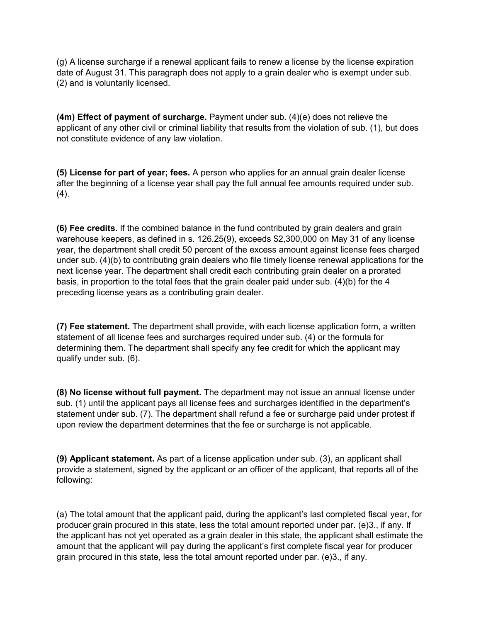(g) A license surcharge if a renewal applicant fails to renew a license by the license expiration date of August 31. This paragraph does not apply to a grain dealer who is exempt under sub. (2) and is voluntarily licensed.

**(4m) Effect of payment of surcharge.** Payment under sub. (4)(e) does not relieve the applicant of any other civil or criminal liability that results from the violation of sub. (1), but does not constitute evidence of any law violation.

**(5) License for part of year; fees.** A person who applies for an annual grain dealer license after the beginning of a license year shall pay the full annual fee amounts required under sub. (4).

**(6) Fee credits.** If the combined balance in the fund contributed by grain dealers and grain warehouse keepers, as defined in s. 126.25(9), exceeds \$2,300,000 on May 31 of any license year, the department shall credit 50 percent of the excess amount against license fees charged under sub. (4)(b) to contributing grain dealers who file timely license renewal applications for the next license year. The department shall credit each contributing grain dealer on a prorated basis, in proportion to the total fees that the grain dealer paid under sub. (4)(b) for the 4 preceding license years as a contributing grain dealer.

**(7) Fee statement.** The department shall provide, with each license application form, a written statement of all license fees and surcharges required under sub. (4) or the formula for determining them. The department shall specify any fee credit for which the applicant may qualify under sub. (6).

**(8) No license without full payment.** The department may not issue an annual license under sub. (1) until the applicant pays all license fees and surcharges identified in the department's statement under sub. (7). The department shall refund a fee or surcharge paid under protest if upon review the department determines that the fee or surcharge is not applicable.

**(9) Applicant statement.** As part of a license application under sub. (3), an applicant shall provide a statement, signed by the applicant or an officer of the applicant, that reports all of the following:

(a) The total amount that the applicant paid, during the applicant's last completed fiscal year, for producer grain procured in this state, less the total amount reported under par. (e)3., if any. If the applicant has not yet operated as a grain dealer in this state, the applicant shall estimate the amount that the applicant will pay during the applicant's first complete fiscal year for producer grain procured in this state, less the total amount reported under par. (e)3., if any.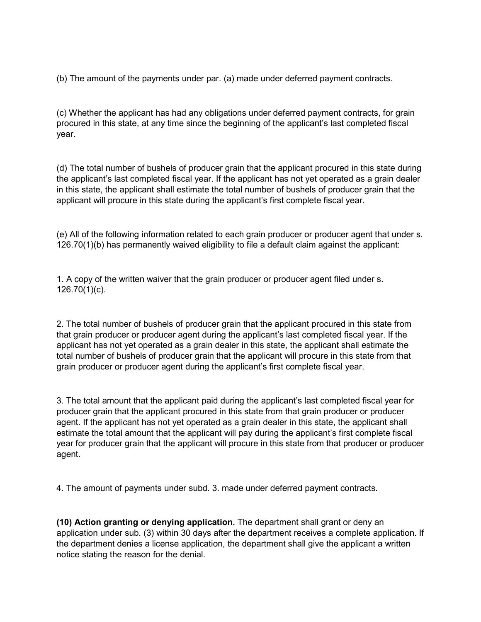(b) The amount of the payments under par. (a) made under deferred payment contracts.

(c) Whether the applicant has had any obligations under deferred payment contracts, for grain procured in this state, at any time since the beginning of the applicant's last completed fiscal year.

(d) The total number of bushels of producer grain that the applicant procured in this state during the applicant's last completed fiscal year. If the applicant has not yet operated as a grain dealer in this state, the applicant shall estimate the total number of bushels of producer grain that the applicant will procure in this state during the applicant's first complete fiscal year.

(e) All of the following information related to each grain producer or producer agent that under s. 126.70(1)(b) has permanently waived eligibility to file a default claim against the applicant:

1. A copy of the written waiver that the grain producer or producer agent filed under s. 126.70(1)(c).

2. The total number of bushels of producer grain that the applicant procured in this state from that grain producer or producer agent during the applicant's last completed fiscal year. If the applicant has not yet operated as a grain dealer in this state, the applicant shall estimate the total number of bushels of producer grain that the applicant will procure in this state from that grain producer or producer agent during the applicant's first complete fiscal year.

3. The total amount that the applicant paid during the applicant's last completed fiscal year for producer grain that the applicant procured in this state from that grain producer or producer agent. If the applicant has not yet operated as a grain dealer in this state, the applicant shall estimate the total amount that the applicant will pay during the applicant's first complete fiscal year for producer grain that the applicant will procure in this state from that producer or producer agent.

4. The amount of payments under subd. 3. made under deferred payment contracts.

**(10) Action granting or denying application.** The department shall grant or deny an application under sub. (3) within 30 days after the department receives a complete application. If the department denies a license application, the department shall give the applicant a written notice stating the reason for the denial.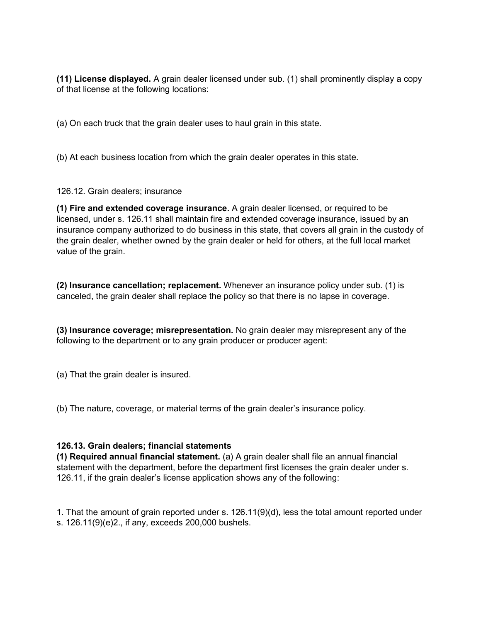**(11) License displayed.** A grain dealer licensed under sub. (1) shall prominently display a copy of that license at the following locations:

(a) On each truck that the grain dealer uses to haul grain in this state.

(b) At each business location from which the grain dealer operates in this state.

126.12. Grain dealers; insurance

**(1) Fire and extended coverage insurance.** A grain dealer licensed, or required to be licensed, under s. 126.11 shall maintain fire and extended coverage insurance, issued by an insurance company authorized to do business in this state, that covers all grain in the custody of the grain dealer, whether owned by the grain dealer or held for others, at the full local market value of the grain.

**(2) Insurance cancellation; replacement.** Whenever an insurance policy under sub. (1) is canceled, the grain dealer shall replace the policy so that there is no lapse in coverage.

**(3) Insurance coverage; misrepresentation.** No grain dealer may misrepresent any of the following to the department or to any grain producer or producer agent:

(a) That the grain dealer is insured.

(b) The nature, coverage, or material terms of the grain dealer's insurance policy.

### <span id="page-12-0"></span>**126.13. Grain dealers; financial statements**

**(1) Required annual financial statement.** (a) A grain dealer shall file an annual financial statement with the department, before the department first licenses the grain dealer under s. 126.11, if the grain dealer's license application shows any of the following:

1. That the amount of grain reported under s. 126.11(9)(d), less the total amount reported under s. 126.11(9)(e)2., if any, exceeds 200,000 bushels.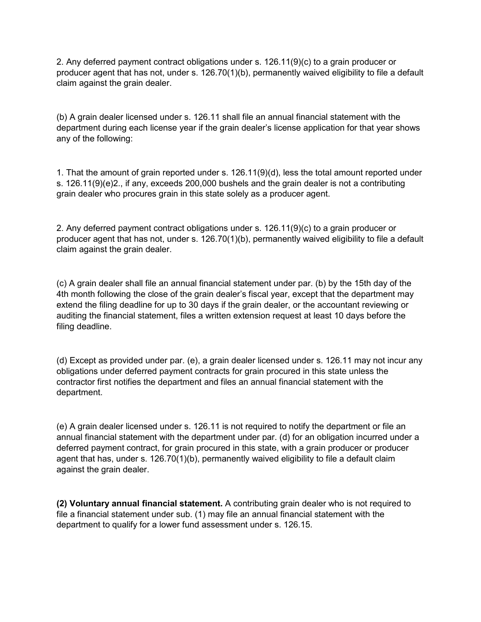2. Any deferred payment contract obligations under s. 126.11(9)(c) to a grain producer or producer agent that has not, under s. 126.70(1)(b), permanently waived eligibility to file a default claim against the grain dealer.

(b) A grain dealer licensed under s. 126.11 shall file an annual financial statement with the department during each license year if the grain dealer's license application for that year shows any of the following:

1. That the amount of grain reported under s. 126.11(9)(d), less the total amount reported under s. 126.11(9)(e)2., if any, exceeds 200,000 bushels and the grain dealer is not a contributing grain dealer who procures grain in this state solely as a producer agent.

2. Any deferred payment contract obligations under s. 126.11(9)(c) to a grain producer or producer agent that has not, under s. 126.70(1)(b), permanently waived eligibility to file a default claim against the grain dealer.

(c) A grain dealer shall file an annual financial statement under par. (b) by the 15th day of the 4th month following the close of the grain dealer's fiscal year, except that the department may extend the filing deadline for up to 30 days if the grain dealer, or the accountant reviewing or auditing the financial statement, files a written extension request at least 10 days before the filing deadline.

(d) Except as provided under par. (e), a grain dealer licensed under s. 126.11 may not incur any obligations under deferred payment contracts for grain procured in this state unless the contractor first notifies the department and files an annual financial statement with the department.

(e) A grain dealer licensed under s. 126.11 is not required to notify the department or file an annual financial statement with the department under par. (d) for an obligation incurred under a deferred payment contract, for grain procured in this state, with a grain producer or producer agent that has, under s. 126.70(1)(b), permanently waived eligibility to file a default claim against the grain dealer.

**(2) Voluntary annual financial statement.** A contributing grain dealer who is not required to file a financial statement under sub. (1) may file an annual financial statement with the department to qualify for a lower fund assessment under s. 126.15.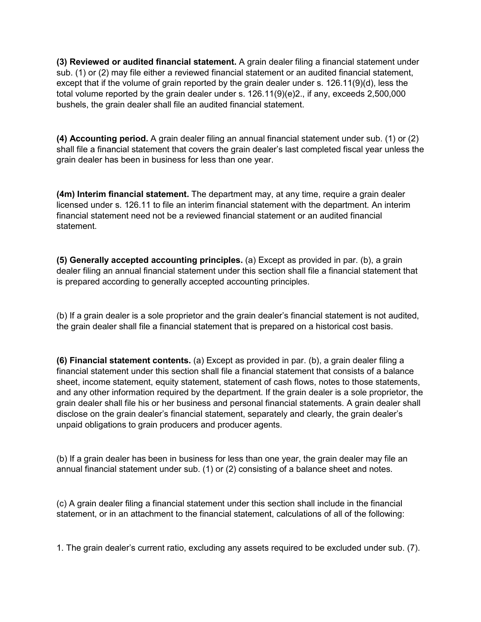**(3) Reviewed or audited financial statement.** A grain dealer filing a financial statement under sub. (1) or (2) may file either a reviewed financial statement or an audited financial statement, except that if the volume of grain reported by the grain dealer under s. 126.11(9)(d), less the total volume reported by the grain dealer under s. 126.11(9)(e)2., if any, exceeds 2,500,000 bushels, the grain dealer shall file an audited financial statement.

**(4) Accounting period.** A grain dealer filing an annual financial statement under sub. (1) or (2) shall file a financial statement that covers the grain dealer's last completed fiscal year unless the grain dealer has been in business for less than one year.

**(4m) Interim financial statement.** The department may, at any time, require a grain dealer licensed under s. 126.11 to file an interim financial statement with the department. An interim financial statement need not be a reviewed financial statement or an audited financial statement.

**(5) Generally accepted accounting principles.** (a) Except as provided in par. (b), a grain dealer filing an annual financial statement under this section shall file a financial statement that is prepared according to generally accepted accounting principles.

(b) If a grain dealer is a sole proprietor and the grain dealer's financial statement is not audited, the grain dealer shall file a financial statement that is prepared on a historical cost basis.

**(6) Financial statement contents.** (a) Except as provided in par. (b), a grain dealer filing a financial statement under this section shall file a financial statement that consists of a balance sheet, income statement, equity statement, statement of cash flows, notes to those statements, and any other information required by the department. If the grain dealer is a sole proprietor, the grain dealer shall file his or her business and personal financial statements. A grain dealer shall disclose on the grain dealer's financial statement, separately and clearly, the grain dealer's unpaid obligations to grain producers and producer agents.

(b) If a grain dealer has been in business for less than one year, the grain dealer may file an annual financial statement under sub. (1) or (2) consisting of a balance sheet and notes.

(c) A grain dealer filing a financial statement under this section shall include in the financial statement, or in an attachment to the financial statement, calculations of all of the following:

1. The grain dealer's current ratio, excluding any assets required to be excluded under sub. (7).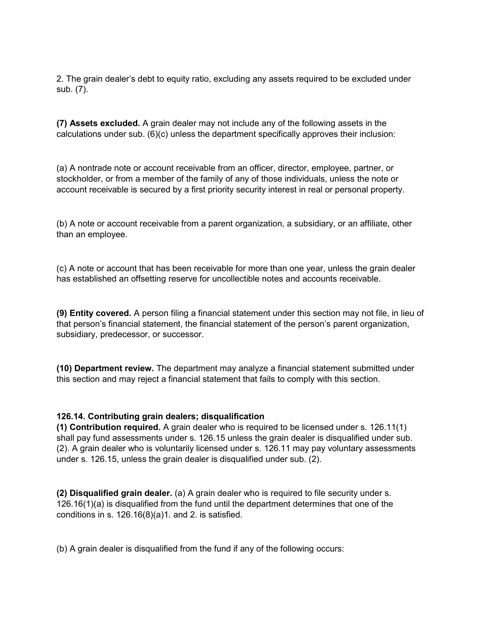2. The grain dealer's debt to equity ratio, excluding any assets required to be excluded under sub. (7).

**(7) Assets excluded.** A grain dealer may not include any of the following assets in the calculations under sub. (6)(c) unless the department specifically approves their inclusion:

(a) A nontrade note or account receivable from an officer, director, employee, partner, or stockholder, or from a member of the family of any of those individuals, unless the note or account receivable is secured by a first priority security interest in real or personal property.

(b) A note or account receivable from a parent organization, a subsidiary, or an affiliate, other than an employee.

(c) A note or account that has been receivable for more than one year, unless the grain dealer has established an offsetting reserve for uncollectible notes and accounts receivable.

**(9) Entity covered.** A person filing a financial statement under this section may not file, in lieu of that person's financial statement, the financial statement of the person's parent organization, subsidiary, predecessor, or successor.

**(10) Department review.** The department may analyze a financial statement submitted under this section and may reject a financial statement that fails to comply with this section.

### <span id="page-15-0"></span>**126.14. Contributing grain dealers; disqualification**

**(1) Contribution required.** A grain dealer who is required to be licensed under s. 126.11(1) shall pay fund assessments under s. 126.15 unless the grain dealer is disqualified under sub. (2). A grain dealer who is voluntarily licensed under s. 126.11 may pay voluntary assessments under s. 126.15, unless the grain dealer is disqualified under sub. (2).

**(2) Disqualified grain dealer.** (a) A grain dealer who is required to file security under s. 126.16(1)(a) is disqualified from the fund until the department determines that one of the conditions in s. 126.16(8)(a)1. and 2. is satisfied.

(b) A grain dealer is disqualified from the fund if any of the following occurs: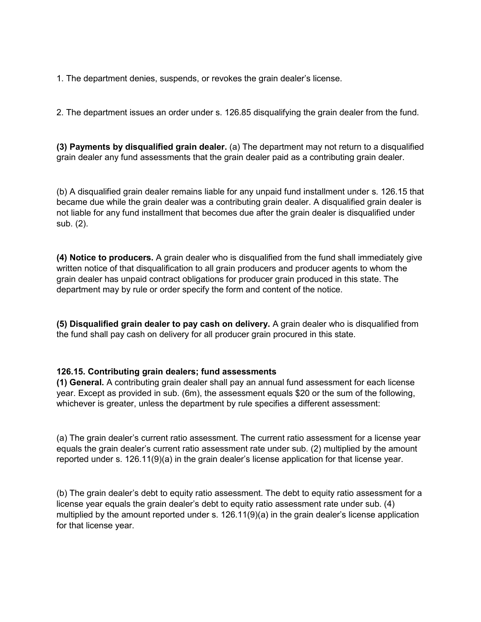1. The department denies, suspends, or revokes the grain dealer's license.

2. The department issues an order under s. 126.85 disqualifying the grain dealer from the fund.

**(3) Payments by disqualified grain dealer.** (a) The department may not return to a disqualified grain dealer any fund assessments that the grain dealer paid as a contributing grain dealer.

(b) A disqualified grain dealer remains liable for any unpaid fund installment under s. 126.15 that became due while the grain dealer was a contributing grain dealer. A disqualified grain dealer is not liable for any fund installment that becomes due after the grain dealer is disqualified under sub. (2).

**(4) Notice to producers.** A grain dealer who is disqualified from the fund shall immediately give written notice of that disqualification to all grain producers and producer agents to whom the grain dealer has unpaid contract obligations for producer grain produced in this state. The department may by rule or order specify the form and content of the notice.

**(5) Disqualified grain dealer to pay cash on delivery.** A grain dealer who is disqualified from the fund shall pay cash on delivery for all producer grain procured in this state.

#### <span id="page-16-0"></span>**126.15. Contributing grain dealers; fund assessments**

**(1) General.** A contributing grain dealer shall pay an annual fund assessment for each license year. Except as provided in sub. (6m), the assessment equals \$20 or the sum of the following, whichever is greater, unless the department by rule specifies a different assessment:

(a) The grain dealer's current ratio assessment. The current ratio assessment for a license year equals the grain dealer's current ratio assessment rate under sub. (2) multiplied by the amount reported under s. 126.11(9)(a) in the grain dealer's license application for that license year.

(b) The grain dealer's debt to equity ratio assessment. The debt to equity ratio assessment for a license year equals the grain dealer's debt to equity ratio assessment rate under sub. (4) multiplied by the amount reported under s. 126.11(9)(a) in the grain dealer's license application for that license year.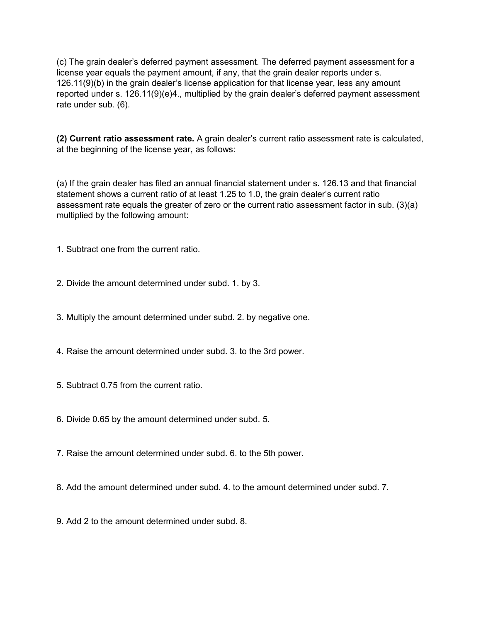(c) The grain dealer's deferred payment assessment. The deferred payment assessment for a license year equals the payment amount, if any, that the grain dealer reports under s. 126.11(9)(b) in the grain dealer's license application for that license year, less any amount reported under s. 126.11(9)(e)4., multiplied by the grain dealer's deferred payment assessment rate under sub. (6).

**(2) Current ratio assessment rate.** A grain dealer's current ratio assessment rate is calculated, at the beginning of the license year, as follows:

(a) If the grain dealer has filed an annual financial statement under s. 126.13 and that financial statement shows a current ratio of at least 1.25 to 1.0, the grain dealer's current ratio assessment rate equals the greater of zero or the current ratio assessment factor in sub. (3)(a) multiplied by the following amount:

1. Subtract one from the current ratio.

- 2. Divide the amount determined under subd. 1. by 3.
- 3. Multiply the amount determined under subd. 2. by negative one.
- 4. Raise the amount determined under subd. 3. to the 3rd power.
- 5. Subtract 0.75 from the current ratio.
- 6. Divide 0.65 by the amount determined under subd. 5.
- 7. Raise the amount determined under subd. 6. to the 5th power.
- 8. Add the amount determined under subd. 4. to the amount determined under subd. 7.
- 9. Add 2 to the amount determined under subd. 8.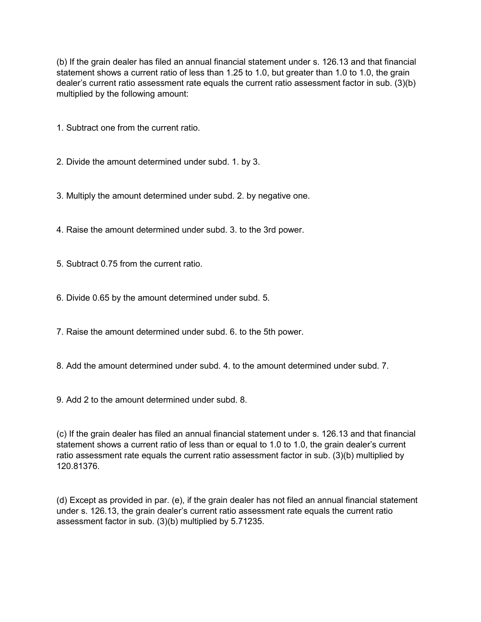(b) If the grain dealer has filed an annual financial statement under s. 126.13 and that financial statement shows a current ratio of less than 1.25 to 1.0, but greater than 1.0 to 1.0, the grain dealer's current ratio assessment rate equals the current ratio assessment factor in sub. (3)(b) multiplied by the following amount:

1. Subtract one from the current ratio.

2. Divide the amount determined under subd. 1. by 3.

3. Multiply the amount determined under subd. 2. by negative one.

4. Raise the amount determined under subd. 3. to the 3rd power.

5. Subtract 0.75 from the current ratio.

6. Divide 0.65 by the amount determined under subd. 5.

7. Raise the amount determined under subd. 6. to the 5th power.

8. Add the amount determined under subd. 4. to the amount determined under subd. 7.

9. Add 2 to the amount determined under subd. 8.

(c) If the grain dealer has filed an annual financial statement under s. 126.13 and that financial statement shows a current ratio of less than or equal to 1.0 to 1.0, the grain dealer's current ratio assessment rate equals the current ratio assessment factor in sub. (3)(b) multiplied by 120.81376.

(d) Except as provided in par. (e), if the grain dealer has not filed an annual financial statement under s. 126.13, the grain dealer's current ratio assessment rate equals the current ratio assessment factor in sub. (3)(b) multiplied by 5.71235.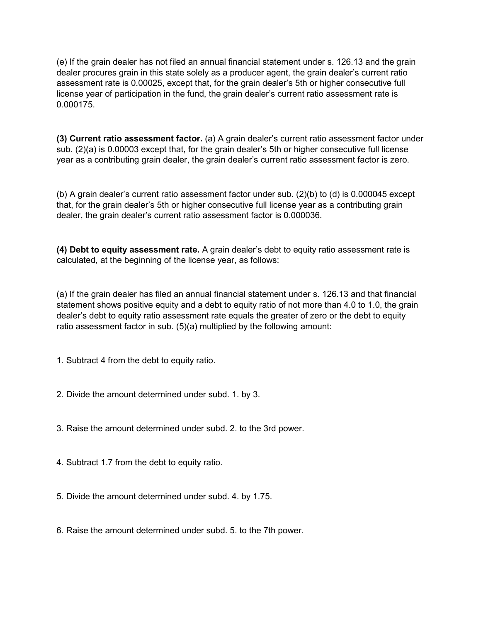(e) If the grain dealer has not filed an annual financial statement under s. 126.13 and the grain dealer procures grain in this state solely as a producer agent, the grain dealer's current ratio assessment rate is 0.00025, except that, for the grain dealer's 5th or higher consecutive full license year of participation in the fund, the grain dealer's current ratio assessment rate is 0.000175.

**(3) Current ratio assessment factor.** (a) A grain dealer's current ratio assessment factor under sub. (2)(a) is 0.00003 except that, for the grain dealer's 5th or higher consecutive full license year as a contributing grain dealer, the grain dealer's current ratio assessment factor is zero.

(b) A grain dealer's current ratio assessment factor under sub. (2)(b) to (d) is 0.000045 except that, for the grain dealer's 5th or higher consecutive full license year as a contributing grain dealer, the grain dealer's current ratio assessment factor is 0.000036.

**(4) Debt to equity assessment rate.** A grain dealer's debt to equity ratio assessment rate is calculated, at the beginning of the license year, as follows:

(a) If the grain dealer has filed an annual financial statement under s. 126.13 and that financial statement shows positive equity and a debt to equity ratio of not more than 4.0 to 1.0, the grain dealer's debt to equity ratio assessment rate equals the greater of zero or the debt to equity ratio assessment factor in sub. (5)(a) multiplied by the following amount:

1. Subtract 4 from the debt to equity ratio.

- 2. Divide the amount determined under subd. 1. by 3.
- 3. Raise the amount determined under subd. 2. to the 3rd power.
- 4. Subtract 1.7 from the debt to equity ratio.
- 5. Divide the amount determined under subd. 4. by 1.75.
- 6. Raise the amount determined under subd. 5. to the 7th power.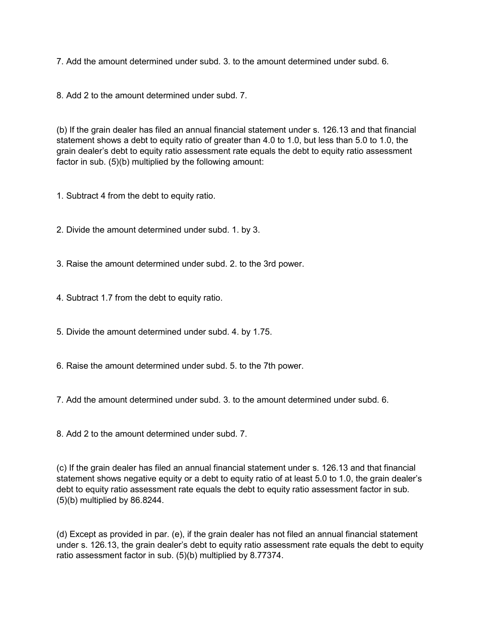7. Add the amount determined under subd. 3. to the amount determined under subd. 6.

8. Add 2 to the amount determined under subd. 7.

(b) If the grain dealer has filed an annual financial statement under s. 126.13 and that financial statement shows a debt to equity ratio of greater than 4.0 to 1.0, but less than 5.0 to 1.0, the grain dealer's debt to equity ratio assessment rate equals the debt to equity ratio assessment factor in sub. (5)(b) multiplied by the following amount:

1. Subtract 4 from the debt to equity ratio.

2. Divide the amount determined under subd. 1. by 3.

3. Raise the amount determined under subd. 2. to the 3rd power.

4. Subtract 1.7 from the debt to equity ratio.

5. Divide the amount determined under subd. 4. by 1.75.

6. Raise the amount determined under subd. 5. to the 7th power.

7. Add the amount determined under subd. 3. to the amount determined under subd. 6.

8. Add 2 to the amount determined under subd. 7.

(c) If the grain dealer has filed an annual financial statement under s. 126.13 and that financial statement shows negative equity or a debt to equity ratio of at least 5.0 to 1.0, the grain dealer's debt to equity ratio assessment rate equals the debt to equity ratio assessment factor in sub. (5)(b) multiplied by 86.8244.

(d) Except as provided in par. (e), if the grain dealer has not filed an annual financial statement under s. 126.13, the grain dealer's debt to equity ratio assessment rate equals the debt to equity ratio assessment factor in sub. (5)(b) multiplied by 8.77374.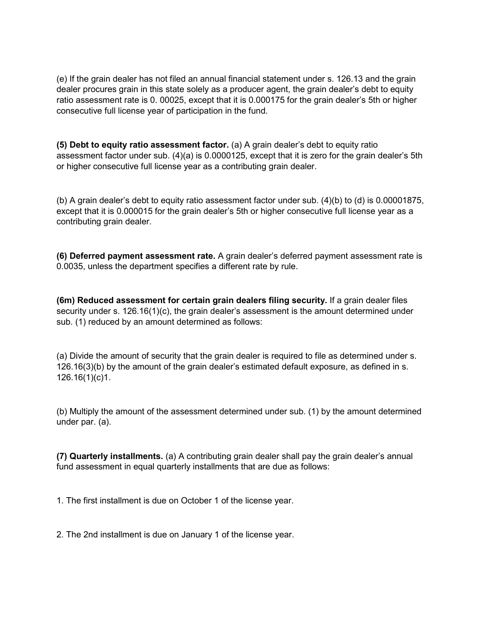(e) If the grain dealer has not filed an annual financial statement under s. 126.13 and the grain dealer procures grain in this state solely as a producer agent, the grain dealer's debt to equity ratio assessment rate is 0. 00025, except that it is 0.000175 for the grain dealer's 5th or higher consecutive full license year of participation in the fund.

**(5) Debt to equity ratio assessment factor.** (a) A grain dealer's debt to equity ratio assessment factor under sub. (4)(a) is 0.0000125, except that it is zero for the grain dealer's 5th or higher consecutive full license year as a contributing grain dealer.

(b) A grain dealer's debt to equity ratio assessment factor under sub. (4)(b) to (d) is 0.00001875, except that it is 0.000015 for the grain dealer's 5th or higher consecutive full license year as a contributing grain dealer.

**(6) Deferred payment assessment rate.** A grain dealer's deferred payment assessment rate is 0.0035, unless the department specifies a different rate by rule.

**(6m) Reduced assessment for certain grain dealers filing security.** If a grain dealer files security under s. 126.16(1)(c), the grain dealer's assessment is the amount determined under sub. (1) reduced by an amount determined as follows:

(a) Divide the amount of security that the grain dealer is required to file as determined under s. 126.16(3)(b) by the amount of the grain dealer's estimated default exposure, as defined in s. 126.16(1)(c)1.

(b) Multiply the amount of the assessment determined under sub. (1) by the amount determined under par. (a).

**(7) Quarterly installments.** (a) A contributing grain dealer shall pay the grain dealer's annual fund assessment in equal quarterly installments that are due as follows:

1. The first installment is due on October 1 of the license year.

2. The 2nd installment is due on January 1 of the license year.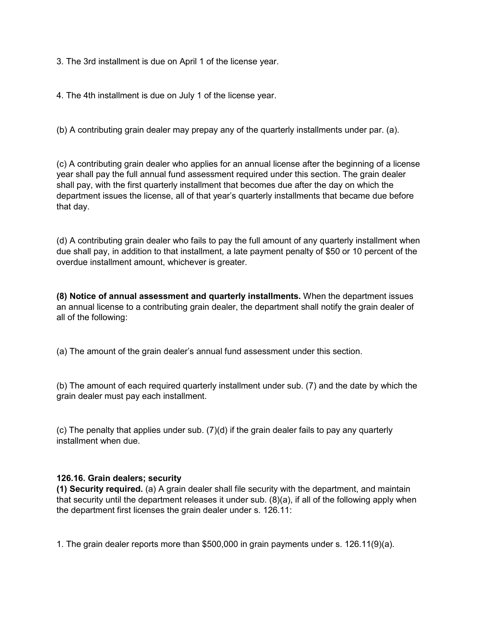3. The 3rd installment is due on April 1 of the license year.

4. The 4th installment is due on July 1 of the license year.

(b) A contributing grain dealer may prepay any of the quarterly installments under par. (a).

(c) A contributing grain dealer who applies for an annual license after the beginning of a license year shall pay the full annual fund assessment required under this section. The grain dealer shall pay, with the first quarterly installment that becomes due after the day on which the department issues the license, all of that year's quarterly installments that became due before that day.

(d) A contributing grain dealer who fails to pay the full amount of any quarterly installment when due shall pay, in addition to that installment, a late payment penalty of \$50 or 10 percent of the overdue installment amount, whichever is greater.

**(8) Notice of annual assessment and quarterly installments.** When the department issues an annual license to a contributing grain dealer, the department shall notify the grain dealer of all of the following:

(a) The amount of the grain dealer's annual fund assessment under this section.

(b) The amount of each required quarterly installment under sub. (7) and the date by which the grain dealer must pay each installment.

(c) The penalty that applies under sub. (7)(d) if the grain dealer fails to pay any quarterly installment when due.

### <span id="page-22-0"></span>**126.16. Grain dealers; security**

**(1) Security required.** (a) A grain dealer shall file security with the department, and maintain that security until the department releases it under sub. (8)(a), if all of the following apply when the department first licenses the grain dealer under s. 126.11:

1. The grain dealer reports more than \$500,000 in grain payments under s. 126.11(9)(a).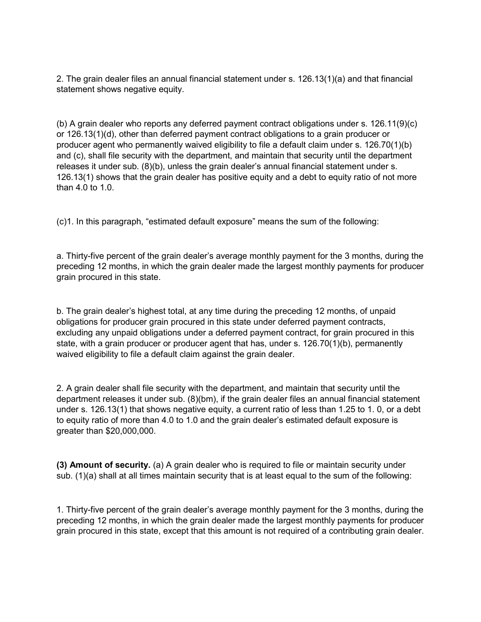2. The grain dealer files an annual financial statement under s. 126.13(1)(a) and that financial statement shows negative equity.

(b) A grain dealer who reports any deferred payment contract obligations under s. 126.11(9)(c) or 126.13(1)(d), other than deferred payment contract obligations to a grain producer or producer agent who permanently waived eligibility to file a default claim under s. 126.70(1)(b) and (c), shall file security with the department, and maintain that security until the department releases it under sub. (8)(b), unless the grain dealer's annual financial statement under s. 126.13(1) shows that the grain dealer has positive equity and a debt to equity ratio of not more than 4.0 to 1.0.

(c)1. In this paragraph, "estimated default exposure" means the sum of the following:

a. Thirty-five percent of the grain dealer's average monthly payment for the 3 months, during the preceding 12 months, in which the grain dealer made the largest monthly payments for producer grain procured in this state.

b. The grain dealer's highest total, at any time during the preceding 12 months, of unpaid obligations for producer grain procured in this state under deferred payment contracts, excluding any unpaid obligations under a deferred payment contract, for grain procured in this state, with a grain producer or producer agent that has, under s. 126.70(1)(b), permanently waived eligibility to file a default claim against the grain dealer.

2. A grain dealer shall file security with the department, and maintain that security until the department releases it under sub. (8)(bm), if the grain dealer files an annual financial statement under s. 126.13(1) that shows negative equity, a current ratio of less than 1.25 to 1. 0, or a debt to equity ratio of more than 4.0 to 1.0 and the grain dealer's estimated default exposure is greater than \$20,000,000.

**(3) Amount of security.** (a) A grain dealer who is required to file or maintain security under sub. (1)(a) shall at all times maintain security that is at least equal to the sum of the following:

1. Thirty-five percent of the grain dealer's average monthly payment for the 3 months, during the preceding 12 months, in which the grain dealer made the largest monthly payments for producer grain procured in this state, except that this amount is not required of a contributing grain dealer.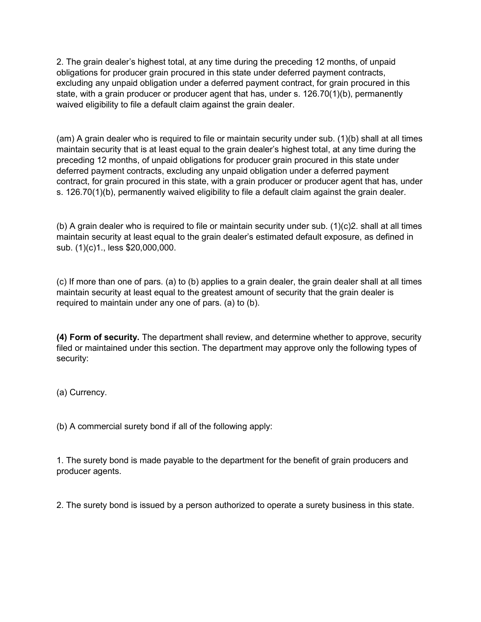2. The grain dealer's highest total, at any time during the preceding 12 months, of unpaid obligations for producer grain procured in this state under deferred payment contracts, excluding any unpaid obligation under a deferred payment contract, for grain procured in this state, with a grain producer or producer agent that has, under s. 126.70(1)(b), permanently waived eligibility to file a default claim against the grain dealer.

(am) A grain dealer who is required to file or maintain security under sub. (1)(b) shall at all times maintain security that is at least equal to the grain dealer's highest total, at any time during the preceding 12 months, of unpaid obligations for producer grain procured in this state under deferred payment contracts, excluding any unpaid obligation under a deferred payment contract, for grain procured in this state, with a grain producer or producer agent that has, under s. 126.70(1)(b), permanently waived eligibility to file a default claim against the grain dealer.

(b) A grain dealer who is required to file or maintain security under sub. (1)(c)2. shall at all times maintain security at least equal to the grain dealer's estimated default exposure, as defined in sub. (1)(c)1., less \$20,000,000.

(c) If more than one of pars. (a) to (b) applies to a grain dealer, the grain dealer shall at all times maintain security at least equal to the greatest amount of security that the grain dealer is required to maintain under any one of pars. (a) to (b).

**(4) Form of security.** The department shall review, and determine whether to approve, security filed or maintained under this section. The department may approve only the following types of security:

(a) Currency.

(b) A commercial surety bond if all of the following apply:

1. The surety bond is made payable to the department for the benefit of grain producers and producer agents.

2. The surety bond is issued by a person authorized to operate a surety business in this state.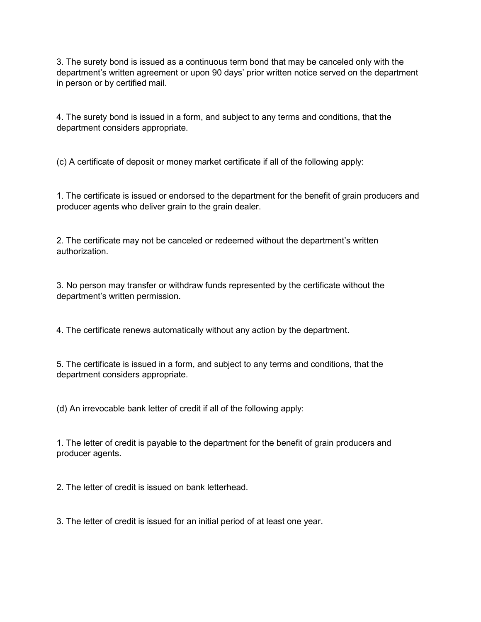3. The surety bond is issued as a continuous term bond that may be canceled only with the department's written agreement or upon 90 days' prior written notice served on the department in person or by certified mail.

4. The surety bond is issued in a form, and subject to any terms and conditions, that the department considers appropriate.

(c) A certificate of deposit or money market certificate if all of the following apply:

1. The certificate is issued or endorsed to the department for the benefit of grain producers and producer agents who deliver grain to the grain dealer.

2. The certificate may not be canceled or redeemed without the department's written authorization.

3. No person may transfer or withdraw funds represented by the certificate without the department's written permission.

4. The certificate renews automatically without any action by the department.

5. The certificate is issued in a form, and subject to any terms and conditions, that the department considers appropriate.

(d) An irrevocable bank letter of credit if all of the following apply:

1. The letter of credit is payable to the department for the benefit of grain producers and producer agents.

2. The letter of credit is issued on bank letterhead.

3. The letter of credit is issued for an initial period of at least one year.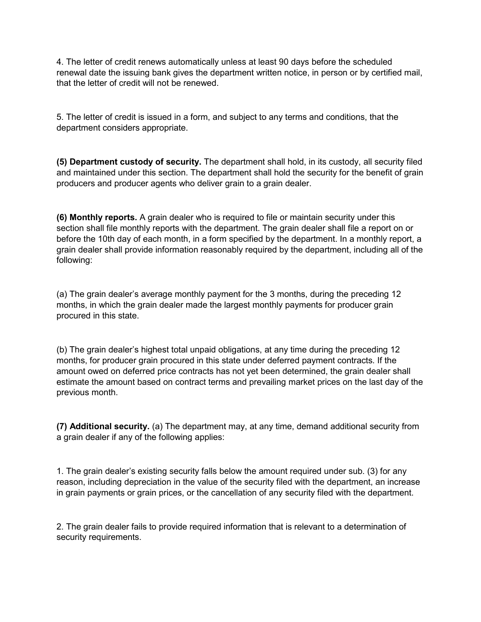4. The letter of credit renews automatically unless at least 90 days before the scheduled renewal date the issuing bank gives the department written notice, in person or by certified mail, that the letter of credit will not be renewed.

5. The letter of credit is issued in a form, and subject to any terms and conditions, that the department considers appropriate.

**(5) Department custody of security.** The department shall hold, in its custody, all security filed and maintained under this section. The department shall hold the security for the benefit of grain producers and producer agents who deliver grain to a grain dealer.

**(6) Monthly reports.** A grain dealer who is required to file or maintain security under this section shall file monthly reports with the department. The grain dealer shall file a report on or before the 10th day of each month, in a form specified by the department. In a monthly report, a grain dealer shall provide information reasonably required by the department, including all of the following:

(a) The grain dealer's average monthly payment for the 3 months, during the preceding 12 months, in which the grain dealer made the largest monthly payments for producer grain procured in this state.

(b) The grain dealer's highest total unpaid obligations, at any time during the preceding 12 months, for producer grain procured in this state under deferred payment contracts. If the amount owed on deferred price contracts has not yet been determined, the grain dealer shall estimate the amount based on contract terms and prevailing market prices on the last day of the previous month.

**(7) Additional security.** (a) The department may, at any time, demand additional security from a grain dealer if any of the following applies:

1. The grain dealer's existing security falls below the amount required under sub. (3) for any reason, including depreciation in the value of the security filed with the department, an increase in grain payments or grain prices, or the cancellation of any security filed with the department.

2. The grain dealer fails to provide required information that is relevant to a determination of security requirements.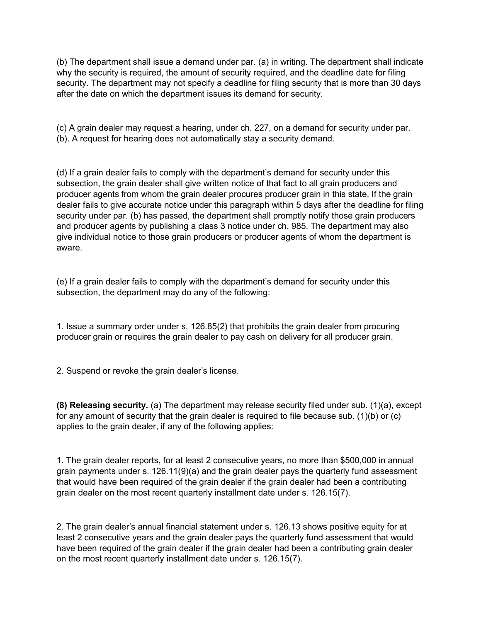(b) The department shall issue a demand under par. (a) in writing. The department shall indicate why the security is required, the amount of security required, and the deadline date for filing security. The department may not specify a deadline for filing security that is more than 30 days after the date on which the department issues its demand for security.

(c) A grain dealer may request a hearing, under ch. 227, on a demand for security under par. (b). A request for hearing does not automatically stay a security demand.

(d) If a grain dealer fails to comply with the department's demand for security under this subsection, the grain dealer shall give written notice of that fact to all grain producers and producer agents from whom the grain dealer procures producer grain in this state. If the grain dealer fails to give accurate notice under this paragraph within 5 days after the deadline for filing security under par. (b) has passed, the department shall promptly notify those grain producers and producer agents by publishing a class 3 notice under ch. 985. The department may also give individual notice to those grain producers or producer agents of whom the department is aware.

(e) If a grain dealer fails to comply with the department's demand for security under this subsection, the department may do any of the following:

1. Issue a summary order under s. 126.85(2) that prohibits the grain dealer from procuring producer grain or requires the grain dealer to pay cash on delivery for all producer grain.

2. Suspend or revoke the grain dealer's license.

**(8) Releasing security.** (a) The department may release security filed under sub. (1)(a), except for any amount of security that the grain dealer is required to file because sub. (1)(b) or (c) applies to the grain dealer, if any of the following applies:

1. The grain dealer reports, for at least 2 consecutive years, no more than \$500,000 in annual grain payments under s. 126.11(9)(a) and the grain dealer pays the quarterly fund assessment that would have been required of the grain dealer if the grain dealer had been a contributing grain dealer on the most recent quarterly installment date under s. 126.15(7).

2. The grain dealer's annual financial statement under s. 126.13 shows positive equity for at least 2 consecutive years and the grain dealer pays the quarterly fund assessment that would have been required of the grain dealer if the grain dealer had been a contributing grain dealer on the most recent quarterly installment date under s. 126.15(7).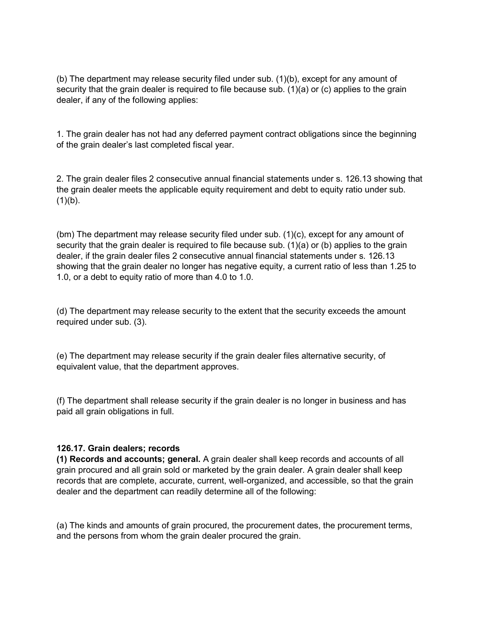(b) The department may release security filed under sub. (1)(b), except for any amount of security that the grain dealer is required to file because sub. (1)(a) or (c) applies to the grain dealer, if any of the following applies:

1. The grain dealer has not had any deferred payment contract obligations since the beginning of the grain dealer's last completed fiscal year.

2. The grain dealer files 2 consecutive annual financial statements under s. 126.13 showing that the grain dealer meets the applicable equity requirement and debt to equity ratio under sub.  $(1)(b)$ .

(bm) The department may release security filed under sub. (1)(c), except for any amount of security that the grain dealer is required to file because sub. (1)(a) or (b) applies to the grain dealer, if the grain dealer files 2 consecutive annual financial statements under s. 126.13 showing that the grain dealer no longer has negative equity, a current ratio of less than 1.25 to 1.0, or a debt to equity ratio of more than 4.0 to 1.0.

(d) The department may release security to the extent that the security exceeds the amount required under sub. (3).

(e) The department may release security if the grain dealer files alternative security, of equivalent value, that the department approves.

(f) The department shall release security if the grain dealer is no longer in business and has paid all grain obligations in full.

#### <span id="page-28-0"></span>**126.17. Grain dealers; records**

**(1) Records and accounts; general.** A grain dealer shall keep records and accounts of all grain procured and all grain sold or marketed by the grain dealer. A grain dealer shall keep records that are complete, accurate, current, well-organized, and accessible, so that the grain dealer and the department can readily determine all of the following:

(a) The kinds and amounts of grain procured, the procurement dates, the procurement terms, and the persons from whom the grain dealer procured the grain.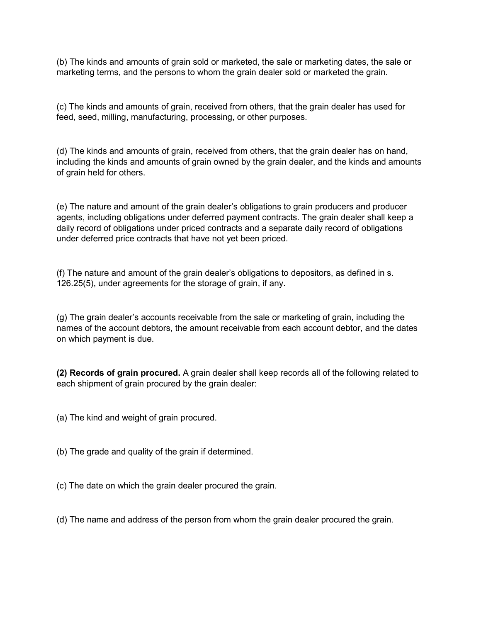(b) The kinds and amounts of grain sold or marketed, the sale or marketing dates, the sale or marketing terms, and the persons to whom the grain dealer sold or marketed the grain.

(c) The kinds and amounts of grain, received from others, that the grain dealer has used for feed, seed, milling, manufacturing, processing, or other purposes.

(d) The kinds and amounts of grain, received from others, that the grain dealer has on hand, including the kinds and amounts of grain owned by the grain dealer, and the kinds and amounts of grain held for others.

(e) The nature and amount of the grain dealer's obligations to grain producers and producer agents, including obligations under deferred payment contracts. The grain dealer shall keep a daily record of obligations under priced contracts and a separate daily record of obligations under deferred price contracts that have not yet been priced.

(f) The nature and amount of the grain dealer's obligations to depositors, as defined in s. 126.25(5), under agreements for the storage of grain, if any.

(g) The grain dealer's accounts receivable from the sale or marketing of grain, including the names of the account debtors, the amount receivable from each account debtor, and the dates on which payment is due.

**(2) Records of grain procured.** A grain dealer shall keep records all of the following related to each shipment of grain procured by the grain dealer:

(a) The kind and weight of grain procured.

(b) The grade and quality of the grain if determined.

- (c) The date on which the grain dealer procured the grain.
- (d) The name and address of the person from whom the grain dealer procured the grain.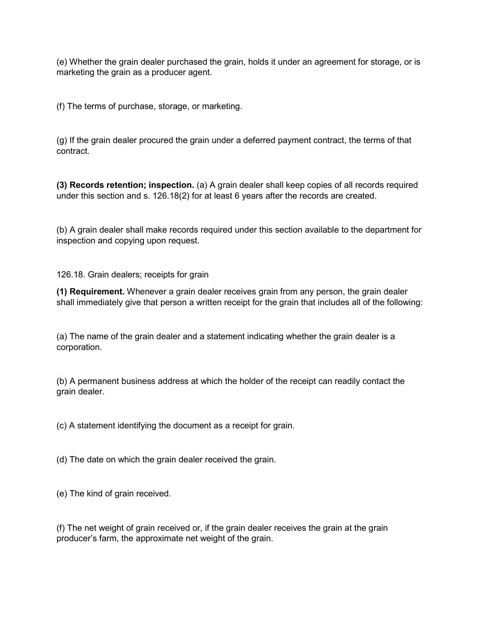(e) Whether the grain dealer purchased the grain, holds it under an agreement for storage, or is marketing the grain as a producer agent.

(f) The terms of purchase, storage, or marketing.

(g) If the grain dealer procured the grain under a deferred payment contract, the terms of that contract.

**(3) Records retention; inspection.** (a) A grain dealer shall keep copies of all records required under this section and s. 126.18(2) for at least 6 years after the records are created.

(b) A grain dealer shall make records required under this section available to the department for inspection and copying upon request.

126.18. Grain dealers; receipts for grain

**(1) Requirement.** Whenever a grain dealer receives grain from any person, the grain dealer shall immediately give that person a written receipt for the grain that includes all of the following:

(a) The name of the grain dealer and a statement indicating whether the grain dealer is a corporation.

(b) A permanent business address at which the holder of the receipt can readily contact the grain dealer.

(c) A statement identifying the document as a receipt for grain.

(d) The date on which the grain dealer received the grain.

(e) The kind of grain received.

(f) The net weight of grain received or, if the grain dealer receives the grain at the grain producer's farm, the approximate net weight of the grain.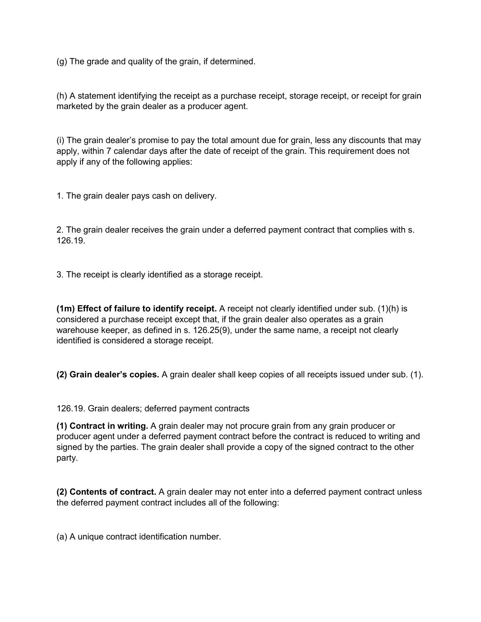(g) The grade and quality of the grain, if determined.

(h) A statement identifying the receipt as a purchase receipt, storage receipt, or receipt for grain marketed by the grain dealer as a producer agent.

(i) The grain dealer's promise to pay the total amount due for grain, less any discounts that may apply, within 7 calendar days after the date of receipt of the grain. This requirement does not apply if any of the following applies:

1. The grain dealer pays cash on delivery.

2. The grain dealer receives the grain under a deferred payment contract that complies with s. 126.19.

3. The receipt is clearly identified as a storage receipt.

**(1m) Effect of failure to identify receipt.** A receipt not clearly identified under sub. (1)(h) is considered a purchase receipt except that, if the grain dealer also operates as a grain warehouse keeper, as defined in s. 126.25(9), under the same name, a receipt not clearly identified is considered a storage receipt.

**(2) Grain dealer's copies.** A grain dealer shall keep copies of all receipts issued under sub. (1).

126.19. Grain dealers; deferred payment contracts

**(1) Contract in writing.** A grain dealer may not procure grain from any grain producer or producer agent under a deferred payment contract before the contract is reduced to writing and signed by the parties. The grain dealer shall provide a copy of the signed contract to the other party.

**(2) Contents of contract.** A grain dealer may not enter into a deferred payment contract unless the deferred payment contract includes all of the following:

(a) A unique contract identification number.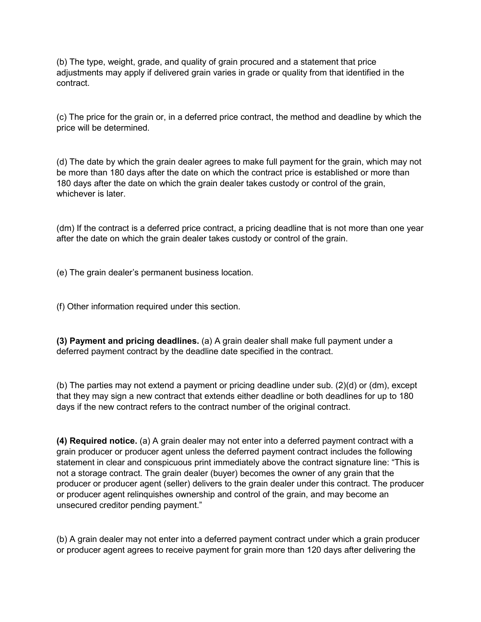(b) The type, weight, grade, and quality of grain procured and a statement that price adjustments may apply if delivered grain varies in grade or quality from that identified in the contract.

(c) The price for the grain or, in a deferred price contract, the method and deadline by which the price will be determined.

(d) The date by which the grain dealer agrees to make full payment for the grain, which may not be more than 180 days after the date on which the contract price is established or more than 180 days after the date on which the grain dealer takes custody or control of the grain, whichever is later

(dm) If the contract is a deferred price contract, a pricing deadline that is not more than one year after the date on which the grain dealer takes custody or control of the grain.

(e) The grain dealer's permanent business location.

(f) Other information required under this section.

**(3) Payment and pricing deadlines.** (a) A grain dealer shall make full payment under a deferred payment contract by the deadline date specified in the contract.

(b) The parties may not extend a payment or pricing deadline under sub. (2)(d) or (dm), except that they may sign a new contract that extends either deadline or both deadlines for up to 180 days if the new contract refers to the contract number of the original contract.

**(4) Required notice.** (a) A grain dealer may not enter into a deferred payment contract with a grain producer or producer agent unless the deferred payment contract includes the following statement in clear and conspicuous print immediately above the contract signature line: "This is not a storage contract. The grain dealer (buyer) becomes the owner of any grain that the producer or producer agent (seller) delivers to the grain dealer under this contract. The producer or producer agent relinquishes ownership and control of the grain, and may become an unsecured creditor pending payment."

(b) A grain dealer may not enter into a deferred payment contract under which a grain producer or producer agent agrees to receive payment for grain more than 120 days after delivering the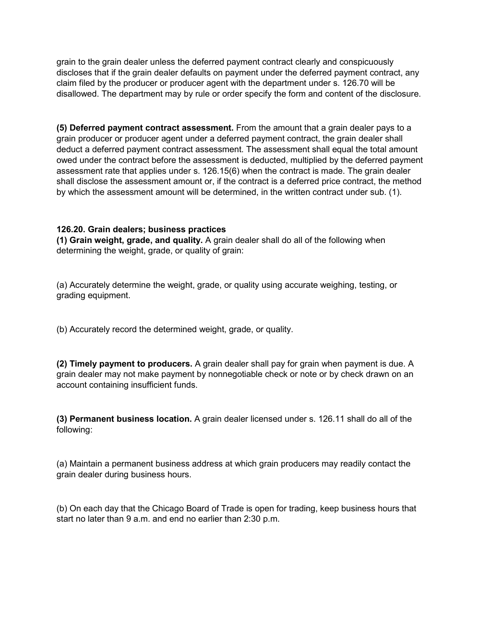grain to the grain dealer unless the deferred payment contract clearly and conspicuously discloses that if the grain dealer defaults on payment under the deferred payment contract, any claim filed by the producer or producer agent with the department under s. 126.70 will be disallowed. The department may by rule or order specify the form and content of the disclosure.

**(5) Deferred payment contract assessment.** From the amount that a grain dealer pays to a grain producer or producer agent under a deferred payment contract, the grain dealer shall deduct a deferred payment contract assessment. The assessment shall equal the total amount owed under the contract before the assessment is deducted, multiplied by the deferred payment assessment rate that applies under s. 126.15(6) when the contract is made. The grain dealer shall disclose the assessment amount or, if the contract is a deferred price contract, the method by which the assessment amount will be determined, in the written contract under sub. (1).

### **126.20. Grain dealers; business practices**

**(1) Grain weight, grade, and quality.** A grain dealer shall do all of the following when determining the weight, grade, or quality of grain:

(a) Accurately determine the weight, grade, or quality using accurate weighing, testing, or grading equipment.

(b) Accurately record the determined weight, grade, or quality.

**(2) Timely payment to producers.** A grain dealer shall pay for grain when payment is due. A grain dealer may not make payment by nonnegotiable check or note or by check drawn on an account containing insufficient funds.

**(3) Permanent business location.** A grain dealer licensed under s. 126.11 shall do all of the following:

(a) Maintain a permanent business address at which grain producers may readily contact the grain dealer during business hours.

(b) On each day that the Chicago Board of Trade is open for trading, keep business hours that start no later than 9 a.m. and end no earlier than 2:30 p.m.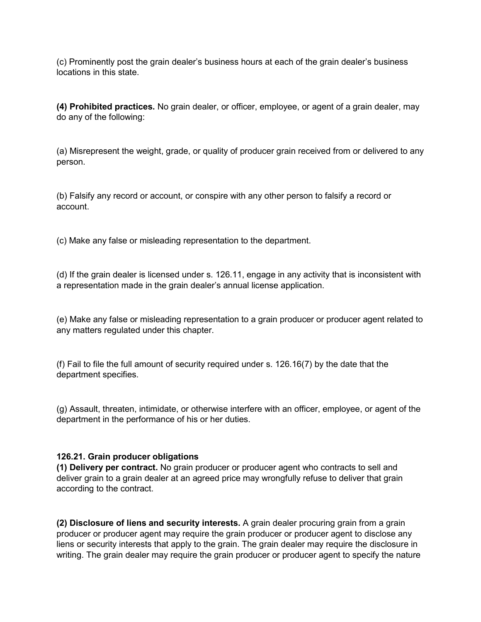(c) Prominently post the grain dealer's business hours at each of the grain dealer's business locations in this state.

**(4) Prohibited practices.** No grain dealer, or officer, employee, or agent of a grain dealer, may do any of the following:

(a) Misrepresent the weight, grade, or quality of producer grain received from or delivered to any person.

(b) Falsify any record or account, or conspire with any other person to falsify a record or account.

(c) Make any false or misleading representation to the department.

(d) If the grain dealer is licensed under s. 126.11, engage in any activity that is inconsistent with a representation made in the grain dealer's annual license application.

(e) Make any false or misleading representation to a grain producer or producer agent related to any matters regulated under this chapter.

(f) Fail to file the full amount of security required under s. 126.16(7) by the date that the department specifies.

(g) Assault, threaten, intimidate, or otherwise interfere with an officer, employee, or agent of the department in the performance of his or her duties.

### **126.21. Grain producer obligations**

**(1) Delivery per contract.** No grain producer or producer agent who contracts to sell and deliver grain to a grain dealer at an agreed price may wrongfully refuse to deliver that grain according to the contract.

**(2) Disclosure of liens and security interests.** A grain dealer procuring grain from a grain producer or producer agent may require the grain producer or producer agent to disclose any liens or security interests that apply to the grain. The grain dealer may require the disclosure in writing. The grain dealer may require the grain producer or producer agent to specify the nature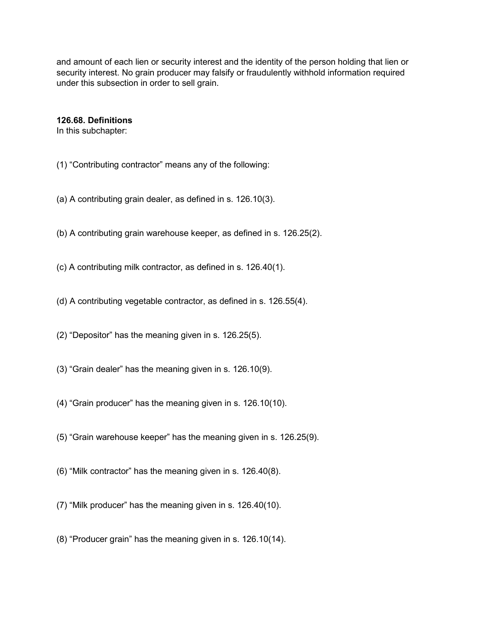and amount of each lien or security interest and the identity of the person holding that lien or security interest. No grain producer may falsify or fraudulently withhold information required under this subsection in order to sell grain.

#### **126.68. Definitions**

In this subchapter:

- (1) "Contributing contractor" means any of the following:
- (a) A contributing grain dealer, as defined in s. 126.10(3).
- (b) A contributing grain warehouse keeper, as defined in s. 126.25(2).
- (c) A contributing milk contractor, as defined in s. 126.40(1).
- (d) A contributing vegetable contractor, as defined in s. 126.55(4).
- (2) "Depositor" has the meaning given in s. 126.25(5).
- (3) "Grain dealer" has the meaning given in s. 126.10(9).
- (4) "Grain producer" has the meaning given in s. 126.10(10).
- (5) "Grain warehouse keeper" has the meaning given in s. 126.25(9).
- (6) "Milk contractor" has the meaning given in s. 126.40(8).
- (7) "Milk producer" has the meaning given in s. 126.40(10).
- (8) "Producer grain" has the meaning given in s. 126.10(14).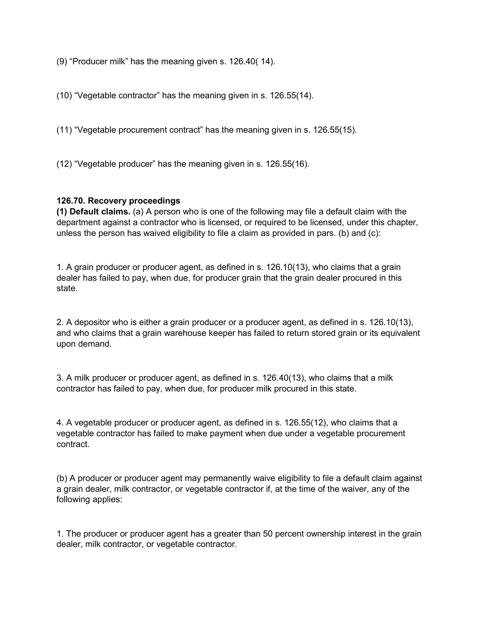(9) "Producer milk" has the meaning given s. 126.40( 14).

(10) "Vegetable contractor" has the meaning given in s. 126.55(14).

(11) "Vegetable procurement contract" has the meaning given in s. 126.55(15).

(12) "Vegetable producer" has the meaning given in s. 126.55(16).

### **126.70. Recovery proceedings**

**(1) Default claims.** (a) A person who is one of the following may file a default claim with the department against a contractor who is licensed, or required to be licensed, under this chapter, unless the person has waived eligibility to file a claim as provided in pars. (b) and (c):

1. A grain producer or producer agent, as defined in s. 126.10(13), who claims that a grain dealer has failed to pay, when due, for producer grain that the grain dealer procured in this state.

2. A depositor who is either a grain producer or a producer agent, as defined in s. 126.10(13), and who claims that a grain warehouse keeper has failed to return stored grain or its equivalent upon demand.

3. A milk producer or producer agent, as defined in s. 126.40(13), who claims that a milk contractor has failed to pay, when due, for producer milk procured in this state.

4. A vegetable producer or producer agent, as defined in s. 126.55(12), who claims that a vegetable contractor has failed to make payment when due under a vegetable procurement contract.

(b) A producer or producer agent may permanently waive eligibility to file a default claim against a grain dealer, milk contractor, or vegetable contractor if, at the time of the waiver, any of the following applies:

1. The producer or producer agent has a greater than 50 percent ownership interest in the grain dealer, milk contractor, or vegetable contractor.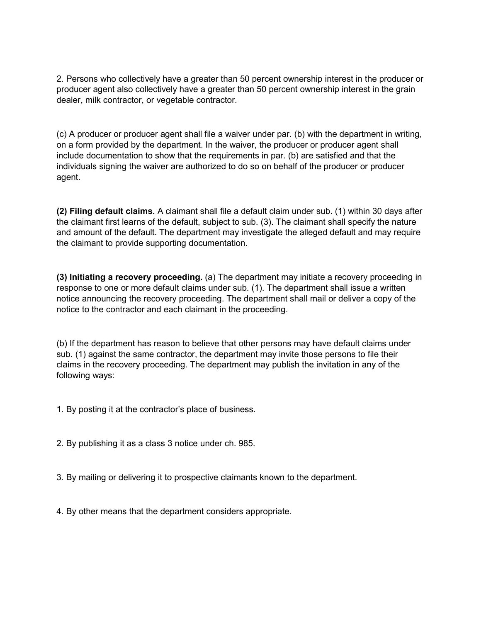2. Persons who collectively have a greater than 50 percent ownership interest in the producer or producer agent also collectively have a greater than 50 percent ownership interest in the grain dealer, milk contractor, or vegetable contractor.

(c) A producer or producer agent shall file a waiver under par. (b) with the department in writing, on a form provided by the department. In the waiver, the producer or producer agent shall include documentation to show that the requirements in par. (b) are satisfied and that the individuals signing the waiver are authorized to do so on behalf of the producer or producer agent.

**(2) Filing default claims.** A claimant shall file a default claim under sub. (1) within 30 days after the claimant first learns of the default, subject to sub. (3). The claimant shall specify the nature and amount of the default. The department may investigate the alleged default and may require the claimant to provide supporting documentation.

**(3) Initiating a recovery proceeding.** (a) The department may initiate a recovery proceeding in response to one or more default claims under sub. (1). The department shall issue a written notice announcing the recovery proceeding. The department shall mail or deliver a copy of the notice to the contractor and each claimant in the proceeding.

(b) If the department has reason to believe that other persons may have default claims under sub. (1) against the same contractor, the department may invite those persons to file their claims in the recovery proceeding. The department may publish the invitation in any of the following ways:

- 1. By posting it at the contractor's place of business.
- 2. By publishing it as a class 3 notice under ch. 985.
- 3. By mailing or delivering it to prospective claimants known to the department.
- 4. By other means that the department considers appropriate.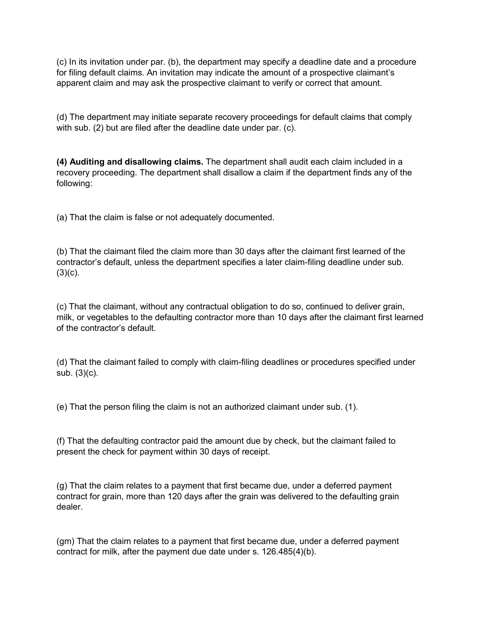(c) In its invitation under par. (b), the department may specify a deadline date and a procedure for filing default claims. An invitation may indicate the amount of a prospective claimant's apparent claim and may ask the prospective claimant to verify or correct that amount.

(d) The department may initiate separate recovery proceedings for default claims that comply with sub. (2) but are filed after the deadline date under par. (c).

**(4) Auditing and disallowing claims.** The department shall audit each claim included in a recovery proceeding. The department shall disallow a claim if the department finds any of the following:

(a) That the claim is false or not adequately documented.

(b) That the claimant filed the claim more than 30 days after the claimant first learned of the contractor's default, unless the department specifies a later claim-filing deadline under sub.  $(3)(c)$ .

(c) That the claimant, without any contractual obligation to do so, continued to deliver grain, milk, or vegetables to the defaulting contractor more than 10 days after the claimant first learned of the contractor's default.

(d) That the claimant failed to comply with claim-filing deadlines or procedures specified under sub. (3)(c).

(e) That the person filing the claim is not an authorized claimant under sub. (1).

(f) That the defaulting contractor paid the amount due by check, but the claimant failed to present the check for payment within 30 days of receipt.

(g) That the claim relates to a payment that first became due, under a deferred payment contract for grain, more than 120 days after the grain was delivered to the defaulting grain dealer.

(gm) That the claim relates to a payment that first became due, under a deferred payment contract for milk, after the payment due date under s. 126.485(4)(b).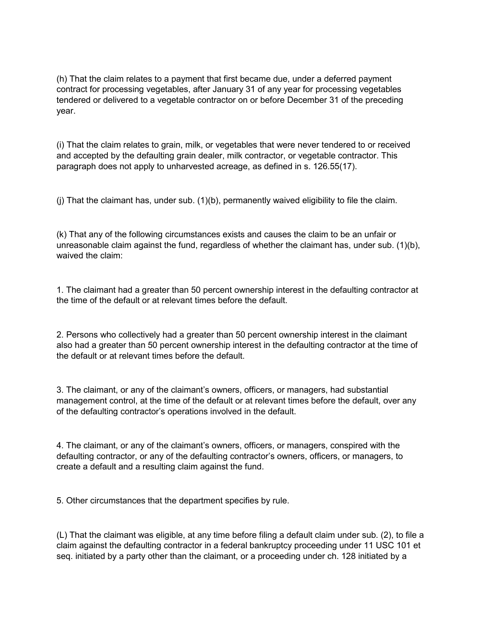(h) That the claim relates to a payment that first became due, under a deferred payment contract for processing vegetables, after January 31 of any year for processing vegetables tendered or delivered to a vegetable contractor on or before December 31 of the preceding year.

(i) That the claim relates to grain, milk, or vegetables that were never tendered to or received and accepted by the defaulting grain dealer, milk contractor, or vegetable contractor. This paragraph does not apply to unharvested acreage, as defined in s. 126.55(17).

(j) That the claimant has, under sub. (1)(b), permanently waived eligibility to file the claim.

(k) That any of the following circumstances exists and causes the claim to be an unfair or unreasonable claim against the fund, regardless of whether the claimant has, under sub. (1)(b), waived the claim:

1. The claimant had a greater than 50 percent ownership interest in the defaulting contractor at the time of the default or at relevant times before the default.

2. Persons who collectively had a greater than 50 percent ownership interest in the claimant also had a greater than 50 percent ownership interest in the defaulting contractor at the time of the default or at relevant times before the default.

3. The claimant, or any of the claimant's owners, officers, or managers, had substantial management control, at the time of the default or at relevant times before the default, over any of the defaulting contractor's operations involved in the default.

4. The claimant, or any of the claimant's owners, officers, or managers, conspired with the defaulting contractor, or any of the defaulting contractor's owners, officers, or managers, to create a default and a resulting claim against the fund.

5. Other circumstances that the department specifies by rule.

(L) That the claimant was eligible, at any time before filing a default claim under sub. (2), to file a claim against the defaulting contractor in a federal bankruptcy proceeding under 11 USC 101 et seq. initiated by a party other than the claimant, or a proceeding under ch. 128 initiated by a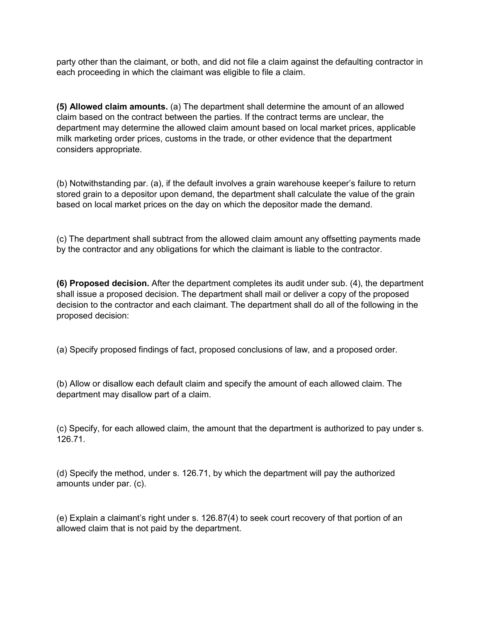party other than the claimant, or both, and did not file a claim against the defaulting contractor in each proceeding in which the claimant was eligible to file a claim.

**(5) Allowed claim amounts.** (a) The department shall determine the amount of an allowed claim based on the contract between the parties. If the contract terms are unclear, the department may determine the allowed claim amount based on local market prices, applicable milk marketing order prices, customs in the trade, or other evidence that the department considers appropriate.

(b) Notwithstanding par. (a), if the default involves a grain warehouse keeper's failure to return stored grain to a depositor upon demand, the department shall calculate the value of the grain based on local market prices on the day on which the depositor made the demand.

(c) The department shall subtract from the allowed claim amount any offsetting payments made by the contractor and any obligations for which the claimant is liable to the contractor.

**(6) Proposed decision.** After the department completes its audit under sub. (4), the department shall issue a proposed decision. The department shall mail or deliver a copy of the proposed decision to the contractor and each claimant. The department shall do all of the following in the proposed decision:

(a) Specify proposed findings of fact, proposed conclusions of law, and a proposed order.

(b) Allow or disallow each default claim and specify the amount of each allowed claim. The department may disallow part of a claim.

(c) Specify, for each allowed claim, the amount that the department is authorized to pay under s. 126.71.

(d) Specify the method, under s. 126.71, by which the department will pay the authorized amounts under par. (c).

(e) Explain a claimant's right under s. 126.87(4) to seek court recovery of that portion of an allowed claim that is not paid by the department.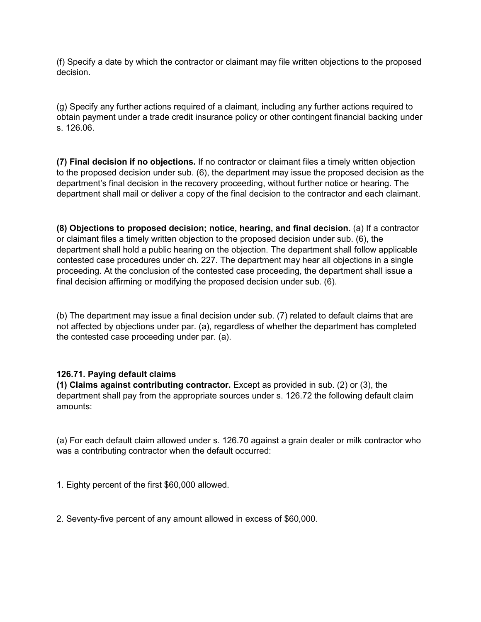(f) Specify a date by which the contractor or claimant may file written objections to the proposed decision.

(g) Specify any further actions required of a claimant, including any further actions required to obtain payment under a trade credit insurance policy or other contingent financial backing under s. 126.06.

**(7) Final decision if no objections.** If no contractor or claimant files a timely written objection to the proposed decision under sub. (6), the department may issue the proposed decision as the department's final decision in the recovery proceeding, without further notice or hearing. The department shall mail or deliver a copy of the final decision to the contractor and each claimant.

**(8) Objections to proposed decision; notice, hearing, and final decision.** (a) If a contractor or claimant files a timely written objection to the proposed decision under sub. (6), the department shall hold a public hearing on the objection. The department shall follow applicable contested case procedures under ch. 227. The department may hear all objections in a single proceeding. At the conclusion of the contested case proceeding, the department shall issue a final decision affirming or modifying the proposed decision under sub. (6).

(b) The department may issue a final decision under sub. (7) related to default claims that are not affected by objections under par. (a), regardless of whether the department has completed the contested case proceeding under par. (a).

### **126.71. Paying default claims**

**(1) Claims against contributing contractor.** Except as provided in sub. (2) or (3), the department shall pay from the appropriate sources under s. 126.72 the following default claim amounts:

(a) For each default claim allowed under s. 126.70 against a grain dealer or milk contractor who was a contributing contractor when the default occurred:

1. Eighty percent of the first \$60,000 allowed.

2. Seventy-five percent of any amount allowed in excess of \$60,000.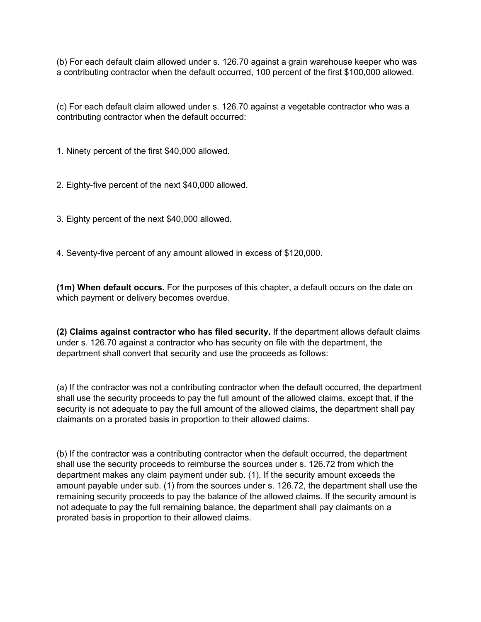(b) For each default claim allowed under s. 126.70 against a grain warehouse keeper who was a contributing contractor when the default occurred, 100 percent of the first \$100,000 allowed.

(c) For each default claim allowed under s. 126.70 against a vegetable contractor who was a contributing contractor when the default occurred:

1. Ninety percent of the first \$40,000 allowed.

2. Eighty-five percent of the next \$40,000 allowed.

3. Eighty percent of the next \$40,000 allowed.

4. Seventy-five percent of any amount allowed in excess of \$120,000.

**(1m) When default occurs.** For the purposes of this chapter, a default occurs on the date on which payment or delivery becomes overdue.

**(2) Claims against contractor who has filed security.** If the department allows default claims under s. 126.70 against a contractor who has security on file with the department, the department shall convert that security and use the proceeds as follows:

(a) If the contractor was not a contributing contractor when the default occurred, the department shall use the security proceeds to pay the full amount of the allowed claims, except that, if the security is not adequate to pay the full amount of the allowed claims, the department shall pay claimants on a prorated basis in proportion to their allowed claims.

(b) If the contractor was a contributing contractor when the default occurred, the department shall use the security proceeds to reimburse the sources under s. 126.72 from which the department makes any claim payment under sub. (1). If the security amount exceeds the amount payable under sub. (1) from the sources under s. 126.72, the department shall use the remaining security proceeds to pay the balance of the allowed claims. If the security amount is not adequate to pay the full remaining balance, the department shall pay claimants on a prorated basis in proportion to their allowed claims.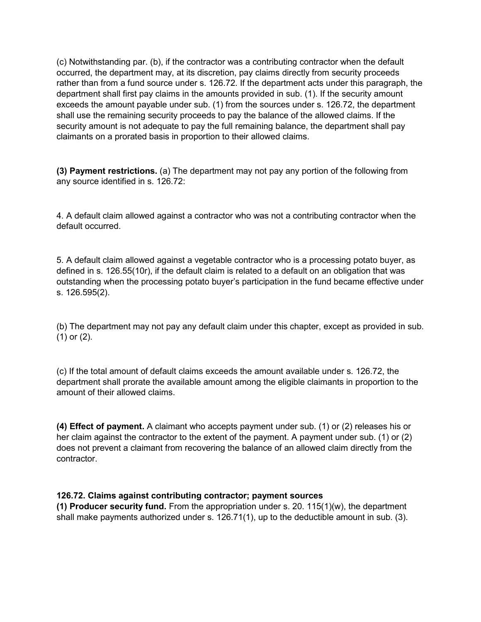(c) Notwithstanding par. (b), if the contractor was a contributing contractor when the default occurred, the department may, at its discretion, pay claims directly from security proceeds rather than from a fund source under s. 126.72. If the department acts under this paragraph, the department shall first pay claims in the amounts provided in sub. (1). If the security amount exceeds the amount payable under sub. (1) from the sources under s. 126.72, the department shall use the remaining security proceeds to pay the balance of the allowed claims. If the security amount is not adequate to pay the full remaining balance, the department shall pay claimants on a prorated basis in proportion to their allowed claims.

**(3) Payment restrictions.** (a) The department may not pay any portion of the following from any source identified in s. 126.72:

4. A default claim allowed against a contractor who was not a contributing contractor when the default occurred.

5. A default claim allowed against a vegetable contractor who is a processing potato buyer, as defined in s. 126.55(10r), if the default claim is related to a default on an obligation that was outstanding when the processing potato buyer's participation in the fund became effective under s. 126.595(2).

(b) The department may not pay any default claim under this chapter, except as provided in sub. (1) or (2).

(c) If the total amount of default claims exceeds the amount available under s. 126.72, the department shall prorate the available amount among the eligible claimants in proportion to the amount of their allowed claims.

**(4) Effect of payment.** A claimant who accepts payment under sub. (1) or (2) releases his or her claim against the contractor to the extent of the payment. A payment under sub. (1) or (2) does not prevent a claimant from recovering the balance of an allowed claim directly from the contractor.

### **126.72. Claims against contributing contractor; payment sources**

**(1) Producer security fund.** From the appropriation under s. 20. 115(1)(w), the department shall make payments authorized under s. 126.71(1), up to the deductible amount in sub. (3).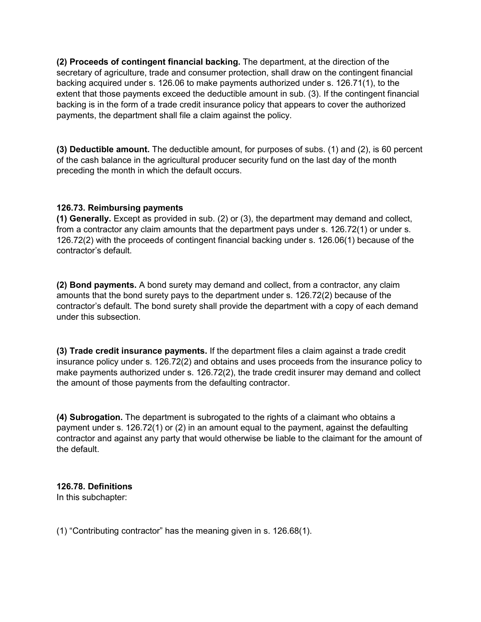**(2) Proceeds of contingent financial backing.** The department, at the direction of the secretary of agriculture, trade and consumer protection, shall draw on the contingent financial backing acquired under s. 126.06 to make payments authorized under s. 126.71(1), to the extent that those payments exceed the deductible amount in sub. (3). If the contingent financial backing is in the form of a trade credit insurance policy that appears to cover the authorized payments, the department shall file a claim against the policy.

**(3) Deductible amount.** The deductible amount, for purposes of subs. (1) and (2), is 60 percent of the cash balance in the agricultural producer security fund on the last day of the month preceding the month in which the default occurs.

# <span id="page-44-0"></span>**126.73. Reimbursing payments**

**(1) Generally.** Except as provided in sub. (2) or (3), the department may demand and collect, from a contractor any claim amounts that the department pays under s. 126.72(1) or under s. 126.72(2) with the proceeds of contingent financial backing under s. 126.06(1) because of the contractor's default.

**(2) Bond payments.** A bond surety may demand and collect, from a contractor, any claim amounts that the bond surety pays to the department under s. 126.72(2) because of the contractor's default. The bond surety shall provide the department with a copy of each demand under this subsection.

**(3) Trade credit insurance payments.** If the department files a claim against a trade credit insurance policy under s. 126.72(2) and obtains and uses proceeds from the insurance policy to make payments authorized under s. 126.72(2), the trade credit insurer may demand and collect the amount of those payments from the defaulting contractor.

**(4) Subrogation.** The department is subrogated to the rights of a claimant who obtains a payment under s. 126.72(1) or (2) in an amount equal to the payment, against the defaulting contractor and against any party that would otherwise be liable to the claimant for the amount of the default.

# **126.78. Definitions**

In this subchapter:

(1) "Contributing contractor" has the meaning given in s. 126.68(1).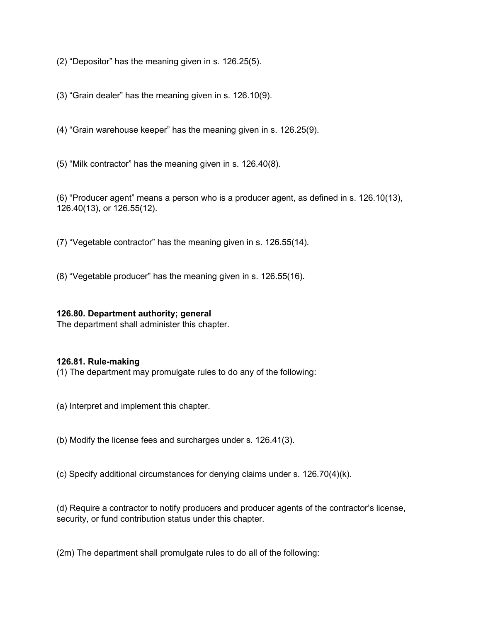(2) "Depositor" has the meaning given in s. 126.25(5).

(3) "Grain dealer" has the meaning given in s. 126.10(9).

(4) "Grain warehouse keeper" has the meaning given in s. 126.25(9).

(5) "Milk contractor" has the meaning given in s. 126.40(8).

(6) "Producer agent" means a person who is a producer agent, as defined in s. 126.10(13), 126.40(13), or 126.55(12).

(7) "Vegetable contractor" has the meaning given in s. 126.55(14).

(8) "Vegetable producer" has the meaning given in s. 126.55(16).

### **126.80. Department authority; general**

The department shall administer this chapter.

### **126.81. Rule-making**

(1) The department may promulgate rules to do any of the following:

(a) Interpret and implement this chapter.

(b) Modify the license fees and surcharges under s. 126.41(3).

(c) Specify additional circumstances for denying claims under s. 126.70(4)(k).

(d) Require a contractor to notify producers and producer agents of the contractor's license, security, or fund contribution status under this chapter.

(2m) The department shall promulgate rules to do all of the following: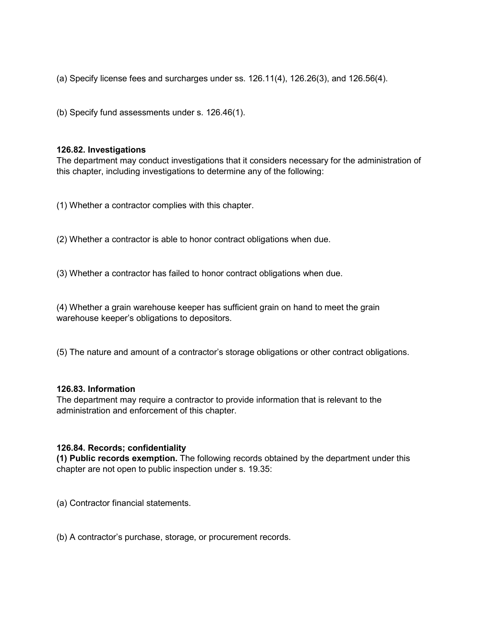(a) Specify license fees and surcharges under ss.  $126.11(4)$ ,  $126.26(3)$ , and  $126.56(4)$ .

(b) Specify fund assessments under s. 126.46(1).

#### **126.82. Investigations**

The department may conduct investigations that it considers necessary for the administration of this chapter, including investigations to determine any of the following:

(1) Whether a contractor complies with this chapter.

(2) Whether a contractor is able to honor contract obligations when due.

(3) Whether a contractor has failed to honor contract obligations when due.

(4) Whether a grain warehouse keeper has sufficient grain on hand to meet the grain warehouse keeper's obligations to depositors.

(5) The nature and amount of a contractor's storage obligations or other contract obligations.

#### **126.83. Information**

The department may require a contractor to provide information that is relevant to the administration and enforcement of this chapter.

#### **126.84. Records; confidentiality**

**(1) Public records exemption.** The following records obtained by the department under this chapter are not open to public inspection under s. 19.35:

(a) Contractor financial statements.

(b) A contractor's purchase, storage, or procurement records.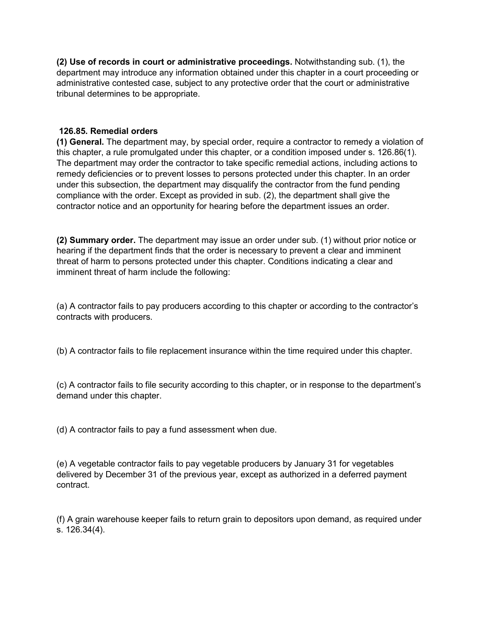**(2) Use of records in court or administrative proceedings.** Notwithstanding sub. (1), the department may introduce any information obtained under this chapter in a court proceeding or administrative contested case, subject to any protective order that the court or administrative tribunal determines to be appropriate.

## <span id="page-47-0"></span>**126.85. Remedial orders**

**(1) General.** The department may, by special order, require a contractor to remedy a violation of this chapter, a rule promulgated under this chapter, or a condition imposed under s. 126.86(1). The department may order the contractor to take specific remedial actions, including actions to remedy deficiencies or to prevent losses to persons protected under this chapter. In an order under this subsection, the department may disqualify the contractor from the fund pending compliance with the order. Except as provided in sub. (2), the department shall give the contractor notice and an opportunity for hearing before the department issues an order.

**(2) Summary order.** The department may issue an order under sub. (1) without prior notice or hearing if the department finds that the order is necessary to prevent a clear and imminent threat of harm to persons protected under this chapter. Conditions indicating a clear and imminent threat of harm include the following:

(a) A contractor fails to pay producers according to this chapter or according to the contractor's contracts with producers.

(b) A contractor fails to file replacement insurance within the time required under this chapter.

(c) A contractor fails to file security according to this chapter, or in response to the department's demand under this chapter.

(d) A contractor fails to pay a fund assessment when due.

(e) A vegetable contractor fails to pay vegetable producers by January 31 for vegetables delivered by December 31 of the previous year, except as authorized in a deferred payment contract.

(f) A grain warehouse keeper fails to return grain to depositors upon demand, as required under s. 126.34(4).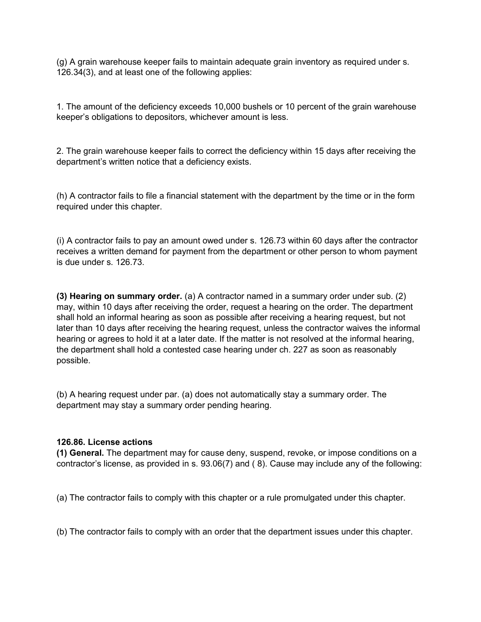(g) A grain warehouse keeper fails to maintain adequate grain inventory as required under s. 126.34(3), and at least one of the following applies:

1. The amount of the deficiency exceeds 10,000 bushels or 10 percent of the grain warehouse keeper's obligations to depositors, whichever amount is less.

2. The grain warehouse keeper fails to correct the deficiency within 15 days after receiving the department's written notice that a deficiency exists.

(h) A contractor fails to file a financial statement with the department by the time or in the form required under this chapter.

(i) A contractor fails to pay an amount owed under s. 126.73 within 60 days after the contractor receives a written demand for payment from the department or other person to whom payment is due under s. 126.73.

**(3) Hearing on summary order.** (a) A contractor named in a summary order under sub. (2) may, within 10 days after receiving the order, request a hearing on the order. The department shall hold an informal hearing as soon as possible after receiving a hearing request, but not later than 10 days after receiving the hearing request, unless the contractor waives the informal hearing or agrees to hold it at a later date. If the matter is not resolved at the informal hearing, the department shall hold a contested case hearing under ch. 227 as soon as reasonably possible.

(b) A hearing request under par. (a) does not automatically stay a summary order. The department may stay a summary order pending hearing.

### **126.86. License actions**

**(1) General.** The department may for cause deny, suspend, revoke, or impose conditions on a contractor's license, as provided in s. 93.06(7) and ( 8). Cause may include any of the following:

(a) The contractor fails to comply with this chapter or a rule promulgated under this chapter.

(b) The contractor fails to comply with an order that the department issues under this chapter.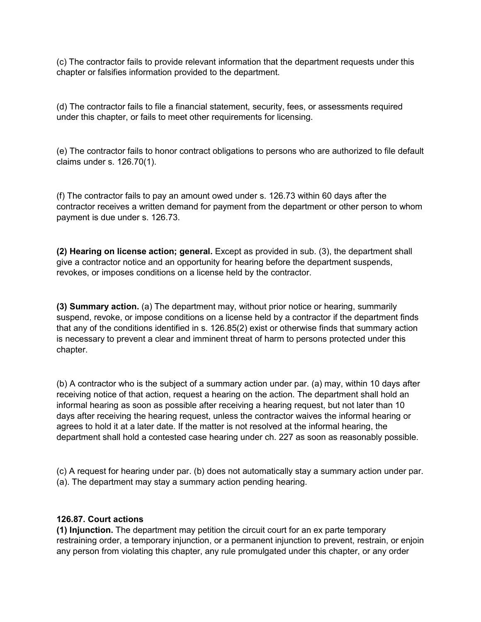(c) The contractor fails to provide relevant information that the department requests under this chapter or falsifies information provided to the department.

(d) The contractor fails to file a financial statement, security, fees, or assessments required under this chapter, or fails to meet other requirements for licensing.

(e) The contractor fails to honor contract obligations to persons who are authorized to file default claims under s. 126.70(1).

(f) The contractor fails to pay an amount owed under s. 126.73 within 60 days after the contractor receives a written demand for payment from the department or other person to whom payment is due under s. 126.73.

**(2) Hearing on license action; general.** Except as provided in sub. (3), the department shall give a contractor notice and an opportunity for hearing before the department suspends, revokes, or imposes conditions on a license held by the contractor.

**(3) Summary action.** (a) The department may, without prior notice or hearing, summarily suspend, revoke, or impose conditions on a license held by a contractor if the department finds that any of the conditions identified in s. 126.85(2) exist or otherwise finds that summary action is necessary to prevent a clear and imminent threat of harm to persons protected under this chapter.

(b) A contractor who is the subject of a summary action under par. (a) may, within 10 days after receiving notice of that action, request a hearing on the action. The department shall hold an informal hearing as soon as possible after receiving a hearing request, but not later than 10 days after receiving the hearing request, unless the contractor waives the informal hearing or agrees to hold it at a later date. If the matter is not resolved at the informal hearing, the department shall hold a contested case hearing under ch. 227 as soon as reasonably possible.

(c) A request for hearing under par. (b) does not automatically stay a summary action under par. (a). The department may stay a summary action pending hearing.

### <span id="page-49-0"></span>**126.87. Court actions**

**(1) Injunction.** The department may petition the circuit court for an ex parte temporary restraining order, a temporary injunction, or a permanent injunction to prevent, restrain, or enjoin any person from violating this chapter, any rule promulgated under this chapter, or any order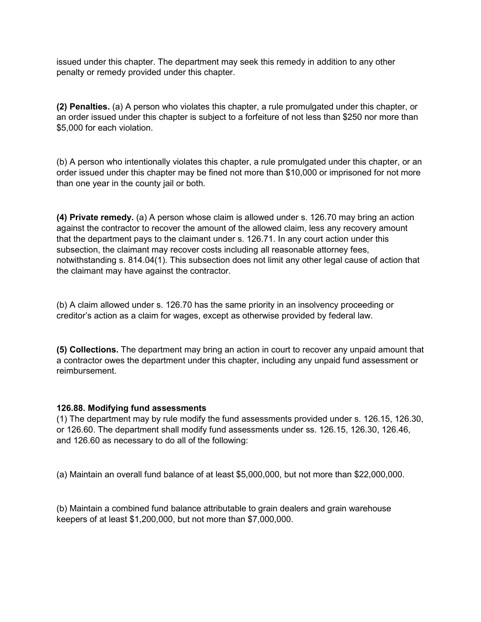issued under this chapter. The department may seek this remedy in addition to any other penalty or remedy provided under this chapter.

**(2) Penalties.** (a) A person who violates this chapter, a rule promulgated under this chapter, or an order issued under this chapter is subject to a forfeiture of not less than \$250 nor more than \$5,000 for each violation.

(b) A person who intentionally violates this chapter, a rule promulgated under this chapter, or an order issued under this chapter may be fined not more than \$10,000 or imprisoned for not more than one year in the county jail or both.

**(4) Private remedy.** (a) A person whose claim is allowed under s. 126.70 may bring an action against the contractor to recover the amount of the allowed claim, less any recovery amount that the department pays to the claimant under s. 126.71. In any court action under this subsection, the claimant may recover costs including all reasonable attorney fees, notwithstanding s. 814.04(1). This subsection does not limit any other legal cause of action that the claimant may have against the contractor.

(b) A claim allowed under s. 126.70 has the same priority in an insolvency proceeding or creditor's action as a claim for wages, except as otherwise provided by federal law.

**(5) Collections.** The department may bring an action in court to recover any unpaid amount that a contractor owes the department under this chapter, including any unpaid fund assessment or reimbursement.

### <span id="page-50-0"></span>**126.88. Modifying fund assessments**

(1) The department may by rule modify the fund assessments provided under s. 126.15, 126.30, or 126.60. The department shall modify fund assessments under ss. 126.15, 126.30, 126.46, and 126.60 as necessary to do all of the following:

(a) Maintain an overall fund balance of at least \$5,000,000, but not more than \$22,000,000.

(b) Maintain a combined fund balance attributable to grain dealers and grain warehouse keepers of at least \$1,200,000, but not more than \$7,000,000.